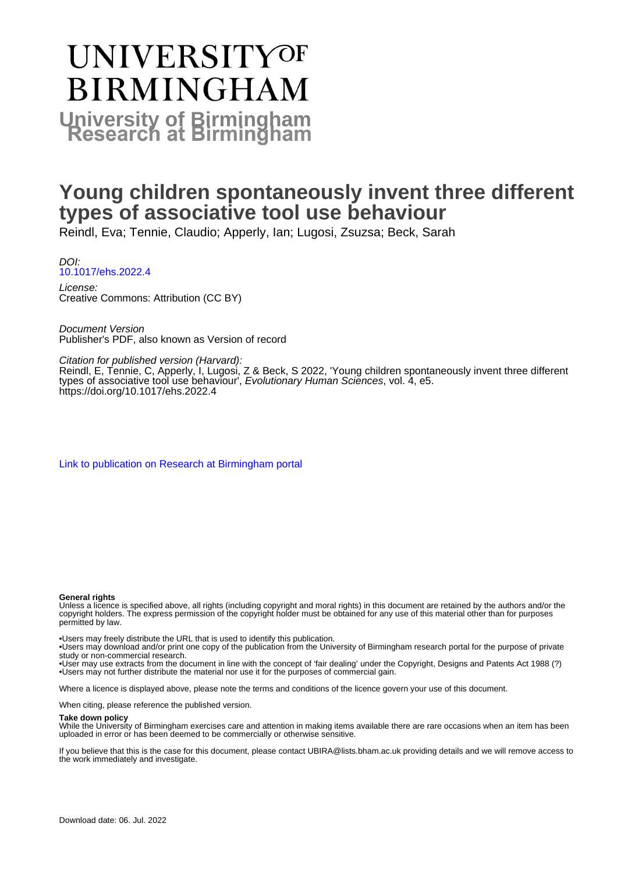# **UNIVERSITYOF BIRMINGHAM University of Birmingham**

# **Young children spontaneously invent three different types of associative tool use behaviour**

Reindl, Eva; Tennie, Claudio; Apperly, Ian; Lugosi, Zsuzsa; Beck, Sarah

DOI: [10.1017/ehs.2022.4](https://doi.org/10.1017/ehs.2022.4)

License: Creative Commons: Attribution (CC BY)

Document Version Publisher's PDF, also known as Version of record

Citation for published version (Harvard):

Reindl, E, Tennie, C, Apperly, I, Lugosi, Z & Beck, S 2022, 'Young children spontaneously invent three different types of associative tool use behaviour', Evolutionary Human Sciences, vol. 4, e5. <https://doi.org/10.1017/ehs.2022.4>

[Link to publication on Research at Birmingham portal](https://birmingham.elsevierpure.com/en/publications/ed07e85a-48e6-472d-b490-48ea65122f55)

#### **General rights**

Unless a licence is specified above, all rights (including copyright and moral rights) in this document are retained by the authors and/or the copyright holders. The express permission of the copyright holder must be obtained for any use of this material other than for purposes permitted by law.

• Users may freely distribute the URL that is used to identify this publication.

• Users may download and/or print one copy of the publication from the University of Birmingham research portal for the purpose of private study or non-commercial research.

• User may use extracts from the document in line with the concept of 'fair dealing' under the Copyright, Designs and Patents Act 1988 (?) • Users may not further distribute the material nor use it for the purposes of commercial gain.

Where a licence is displayed above, please note the terms and conditions of the licence govern your use of this document.

When citing, please reference the published version.

#### **Take down policy**

While the University of Birmingham exercises care and attention in making items available there are rare occasions when an item has been uploaded in error or has been deemed to be commercially or otherwise sensitive.

If you believe that this is the case for this document, please contact UBIRA@lists.bham.ac.uk providing details and we will remove access to the work immediately and investigate.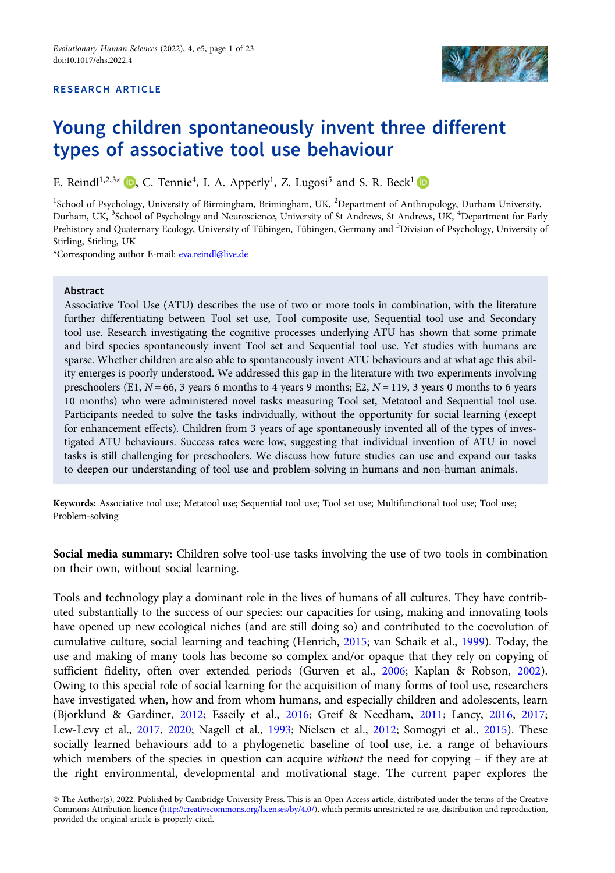#### RESEARCH ARTICLE



# Young children spontaneously invent three different types of associative tool use behaviour

E. Reindl<sup>1[,](https://orcid.org/0000-0003-1594-1367)2,3\*</sup>  $\Box$ , C. Tennie<sup>4</sup>, I. A. Apperly<sup>1</sup>, Z. Lugosi<sup>5</sup> and S. R. Beck<sup>1</sup>

<sup>1</sup>School of Psychology, University of Birmingham, Brimingham, UK, <sup>2</sup>Department of Anthropology, Durham University, Durham, UK, <sup>3</sup>School of Psychology and Neuroscience, University of St Andrews, St Andrews, UK, <sup>4</sup>Department for Early Prehistory and Quaternary Ecology, University of Tübingen, Tübingen, Germany and <sup>5</sup>Division of Psychology, University of Stirling, Stirling, UK

\*Corresponding author E-mail: [eva.reindl@live.de](mailto:eva.reindl@live.de)

#### Abstract

Associative Tool Use (ATU) describes the use of two or more tools in combination, with the literature further differentiating between Tool set use, Tool composite use, Sequential tool use and Secondary tool use. Research investigating the cognitive processes underlying ATU has shown that some primate and bird species spontaneously invent Tool set and Sequential tool use. Yet studies with humans are sparse. Whether children are also able to spontaneously invent ATU behaviours and at what age this ability emerges is poorly understood. We addressed this gap in the literature with two experiments involving preschoolers (E1,  $N = 66$ , 3 years 6 months to 4 years 9 months; E2,  $N = 119$ , 3 years 0 months to 6 years 10 months) who were administered novel tasks measuring Tool set, Metatool and Sequential tool use. Participants needed to solve the tasks individually, without the opportunity for social learning (except for enhancement effects). Children from 3 years of age spontaneously invented all of the types of investigated ATU behaviours. Success rates were low, suggesting that individual invention of ATU in novel tasks is still challenging for preschoolers. We discuss how future studies can use and expand our tasks to deepen our understanding of tool use and problem-solving in humans and non-human animals.

Keywords: Associative tool use; Metatool use; Sequential tool use; Tool set use; Multifunctional tool use; Tool use; Problem-solving

Social media summary: Children solve tool-use tasks involving the use of two tools in combination on their own, without social learning.

Tools and technology play a dominant role in the lives of humans of all cultures. They have contributed substantially to the success of our species: our capacities for using, making and innovating tools have opened up new ecological niches (and are still doing so) and contributed to the coevolution of cumulative culture, social learning and teaching (Henrich, [2015](#page-21-0); van Schaik et al., [1999\)](#page-23-0). Today, the use and making of many tools has become so complex and/or opaque that they rely on copying of sufficient fidelity, often over extended periods (Gurven et al., [2006](#page-20-0); Kaplan & Robson, [2002\)](#page-21-0). Owing to this special role of social learning for the acquisition of many forms of tool use, researchers have investigated when, how and from whom humans, and especially children and adolescents, learn (Bjorklund & Gardiner, [2012](#page-20-0); Esseily et al., [2016;](#page-20-0) Greif & Needham, [2011](#page-20-0); Lancy, [2016](#page-21-0), [2017](#page-21-0); Lew-Levy et al., [2017,](#page-21-0) [2020;](#page-21-0) Nagell et al., [1993;](#page-22-0) Nielsen et al., [2012;](#page-22-0) Somogyi et al., [2015\)](#page-22-0). These socially learned behaviours add to a phylogenetic baseline of tool use, i.e. a range of behaviours which members of the species in question can acquire without the need for copying – if they are at the right environmental, developmental and motivational stage. The current paper explores the

<sup>©</sup> The Author(s), 2022. Published by Cambridge University Press. This is an Open Access article, distributed under the terms of the Creative Commons Attribution licence [\(http://creativecommons.org/licenses/by/4.0/](http://creativecommons.org/licenses/by/4.0/)), which permits unrestricted re-use, distribution and reproduction, provided the original article is properly cited.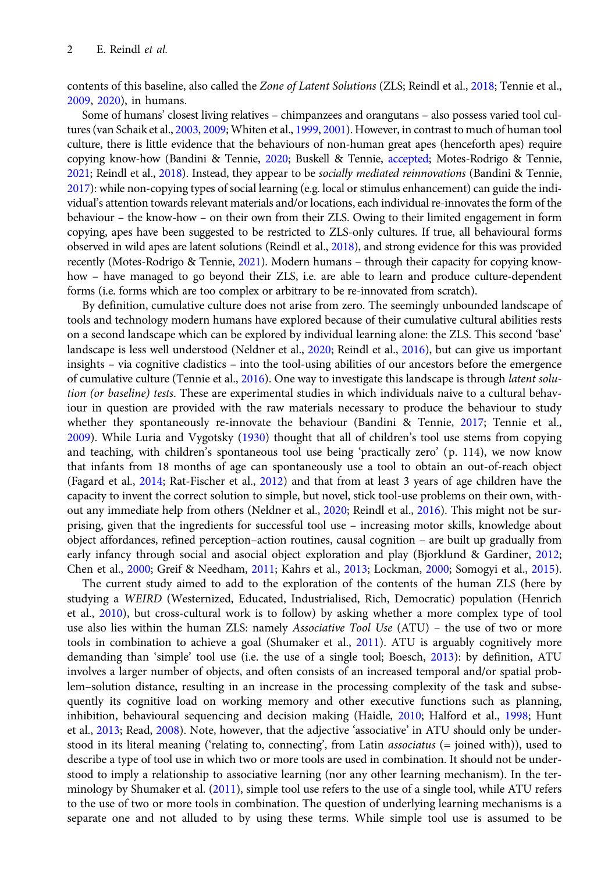contents of this baseline, also called the Zone of Latent Solutions (ZLS; Reindl et al., [2018;](#page-22-0) Tennie et al., [2009,](#page-23-0) [2020\)](#page-23-0), in humans.

Some of humans' closest living relatives – chimpanzees and orangutans – also possess varied tool cultures (van Schaik et al., [2003](#page-23-0), [2009](#page-23-0); Whiten et al., [1999](#page-23-0), [2001\)](#page-23-0). However, in contrast to much of human tool culture, there is little evidence that the behaviours of non-human great apes (henceforth apes) require copying know-how (Bandini & Tennie, [2020](#page-19-0); Buskell & Tennie, [accepted;](#page-20-0) Motes-Rodrigo & Tennie, [2021](#page-21-0); Reindl et al., [2018\)](#page-22-0). Instead, they appear to be socially mediated reinnovations (Bandini & Tennie, [2017](#page-19-0)): while non-copying types of social learning (e.g. local or stimulus enhancement) can guide the individual's attention towards relevant materials and/or locations, each individual re-innovates the form of the behaviour – the know-how – on their own from their ZLS. Owing to their limited engagement in form copying, apes have been suggested to be restricted to ZLS-only cultures. If true, all behavioural forms observed in wild apes are latent solutions (Reindl et al., [2018](#page-22-0)), and strong evidence for this was provided recently (Motes-Rodrigo & Tennie, [2021](#page-21-0)). Modern humans – through their capacity for copying knowhow - have managed to go beyond their ZLS, i.e. are able to learn and produce culture-dependent forms (i.e. forms which are too complex or arbitrary to be re-innovated from scratch).

By definition, cumulative culture does not arise from zero. The seemingly unbounded landscape of tools and technology modern humans have explored because of their cumulative cultural abilities rests on a second landscape which can be explored by individual learning alone: the ZLS. This second 'base' landscape is less well understood (Neldner et al., [2020;](#page-22-0) Reindl et al., [2016](#page-22-0)), but can give us important insights – via cognitive cladistics – into the tool-using abilities of our ancestors before the emergence of cumulative culture (Tennie et al., [2016](#page-23-0)). One way to investigate this landscape is through latent solution (or baseline) tests. These are experimental studies in which individuals naive to a cultural behaviour in question are provided with the raw materials necessary to produce the behaviour to study whether they spontaneously re-innovate the behaviour (Bandini & Tennie, [2017](#page-19-0); Tennie et al., [2009\)](#page-23-0). While Luria and Vygotsky [\(1930\)](#page-21-0) thought that all of children's tool use stems from copying and teaching, with children's spontaneous tool use being 'practically zero' (p. 114), we now know that infants from 18 months of age can spontaneously use a tool to obtain an out-of-reach object (Fagard et al., [2014;](#page-20-0) Rat-Fischer et al., [2012](#page-22-0)) and that from at least 3 years of age children have the capacity to invent the correct solution to simple, but novel, stick tool-use problems on their own, without any immediate help from others (Neldner et al., [2020](#page-22-0); Reindl et al., [2016](#page-22-0)). This might not be surprising, given that the ingredients for successful tool use – increasing motor skills, knowledge about object affordances, refined perception–action routines, causal cognition – are built up gradually from early infancy through social and asocial object exploration and play (Bjorklund & Gardiner, [2012;](#page-20-0) Chen et al., [2000;](#page-20-0) Greif & Needham, [2011;](#page-20-0) Kahrs et al., [2013;](#page-21-0) Lockman, [2000](#page-21-0); Somogyi et al., [2015](#page-22-0)).

The current study aimed to add to the exploration of the contents of the human ZLS (here by studying a WEIRD (Westernized, Educated, Industrialised, Rich, Democratic) population (Henrich et al., [2010](#page-21-0)), but cross-cultural work is to follow) by asking whether a more complex type of tool use also lies within the human ZLS: namely Associative Tool Use (ATU) – the use of two or more tools in combination to achieve a goal (Shumaker et al., [2011](#page-22-0)). ATU is arguably cognitively more demanding than 'simple' tool use (i.e. the use of a single tool; Boesch, [2013](#page-20-0)): by definition, ATU involves a larger number of objects, and often consists of an increased temporal and/or spatial problem–solution distance, resulting in an increase in the processing complexity of the task and subsequently its cognitive load on working memory and other executive functions such as planning, inhibition, behavioural sequencing and decision making (Haidle, [2010;](#page-20-0) Halford et al., [1998;](#page-21-0) Hunt et al., [2013](#page-21-0); Read, [2008\)](#page-22-0). Note, however, that the adjective 'associative' in ATU should only be understood in its literal meaning ('relating to, connecting', from Latin associatus (= joined with)), used to describe a type of tool use in which two or more tools are used in combination. It should not be understood to imply a relationship to associative learning (nor any other learning mechanism). In the terminology by Shumaker et al. ([2011\)](#page-22-0), simple tool use refers to the use of a single tool, while ATU refers to the use of two or more tools in combination. The question of underlying learning mechanisms is a separate one and not alluded to by using these terms. While simple tool use is assumed to be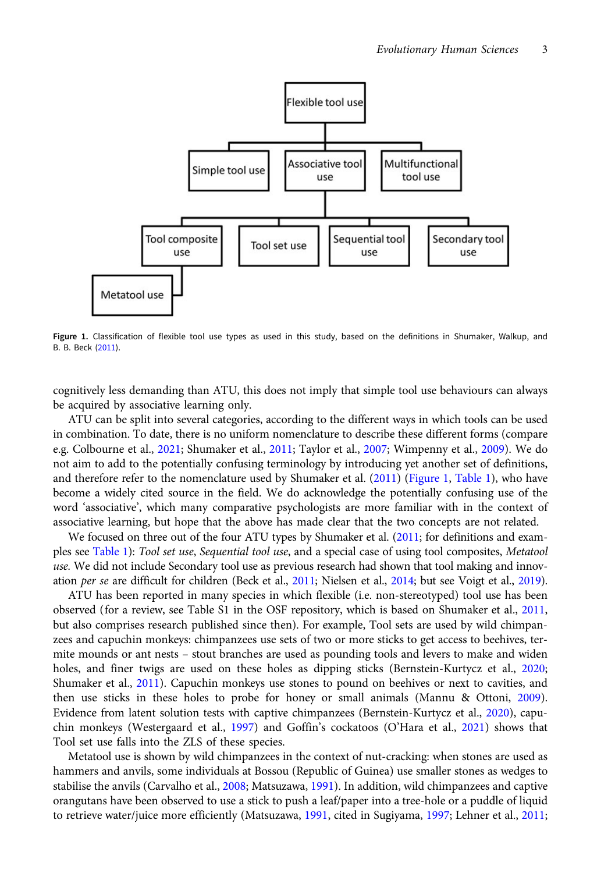<span id="page-3-0"></span>

Figure 1. Classification of flexible tool use types as used in this study, based on the definitions in Shumaker, Walkup, and B. B. Beck ([2011\)](#page-22-0).

cognitively less demanding than ATU, this does not imply that simple tool use behaviours can always be acquired by associative learning only.

ATU can be split into several categories, according to the different ways in which tools can be used in combination. To date, there is no uniform nomenclature to describe these different forms (compare e.g. Colbourne et al., [2021](#page-20-0); Shumaker et al., [2011;](#page-22-0) Taylor et al., [2007](#page-23-0); Wimpenny et al., [2009\)](#page-23-0). We do not aim to add to the potentially confusing terminology by introducing yet another set of definitions, and therefore refer to the nomenclature used by Shumaker et al. ([2011](#page-22-0)) (Figure 1, [Table 1\)](#page-4-0), who have become a widely cited source in the field. We do acknowledge the potentially confusing use of the word 'associative', which many comparative psychologists are more familiar with in the context of associative learning, but hope that the above has made clear that the two concepts are not related.

We focused on three out of the four ATU types by Shumaker et al. [\(2011](#page-22-0); for definitions and examples see [Table 1\)](#page-4-0): Tool set use, Sequential tool use, and a special case of using tool composites, Metatool use. We did not include Secondary tool use as previous research had shown that tool making and innov-ation per se are difficult for children (Beck et al., [2011;](#page-19-0) Nielsen et al., [2014;](#page-22-0) but see Voigt et al., [2019\)](#page-23-0).

ATU has been reported in many species in which flexible (i.e. non-stereotyped) tool use has been observed (for a review, see Table S1 in the OSF repository, which is based on Shumaker et al., [2011](#page-22-0), but also comprises research published since then). For example, Tool sets are used by wild chimpanzees and capuchin monkeys: chimpanzees use sets of two or more sticks to get access to beehives, termite mounds or ant nests – stout branches are used as pounding tools and levers to make and widen holes, and finer twigs are used on these holes as dipping sticks (Bernstein-Kurtycz et al., [2020](#page-20-0); Shumaker et al., [2011](#page-22-0)). Capuchin monkeys use stones to pound on beehives or next to cavities, and then use sticks in these holes to probe for honey or small animals (Mannu & Ottoni, [2009\)](#page-21-0). Evidence from latent solution tests with captive chimpanzees (Bernstein-Kurtycz et al., [2020\)](#page-20-0), capuchin monkeys (Westergaard et al., [1997\)](#page-23-0) and Goffin's cockatoos (O'Hara et al., [2021](#page-22-0)) shows that Tool set use falls into the ZLS of these species.

Metatool use is shown by wild chimpanzees in the context of nut-cracking: when stones are used as hammers and anvils, some individuals at Bossou (Republic of Guinea) use smaller stones as wedges to stabilise the anvils (Carvalho et al., [2008](#page-20-0); Matsuzawa, [1991](#page-21-0)). In addition, wild chimpanzees and captive orangutans have been observed to use a stick to push a leaf/paper into a tree-hole or a puddle of liquid to retrieve water/juice more efficiently (Matsuzawa, [1991](#page-21-0), cited in Sugiyama, [1997;](#page-22-0) Lehner et al., [2011](#page-21-0);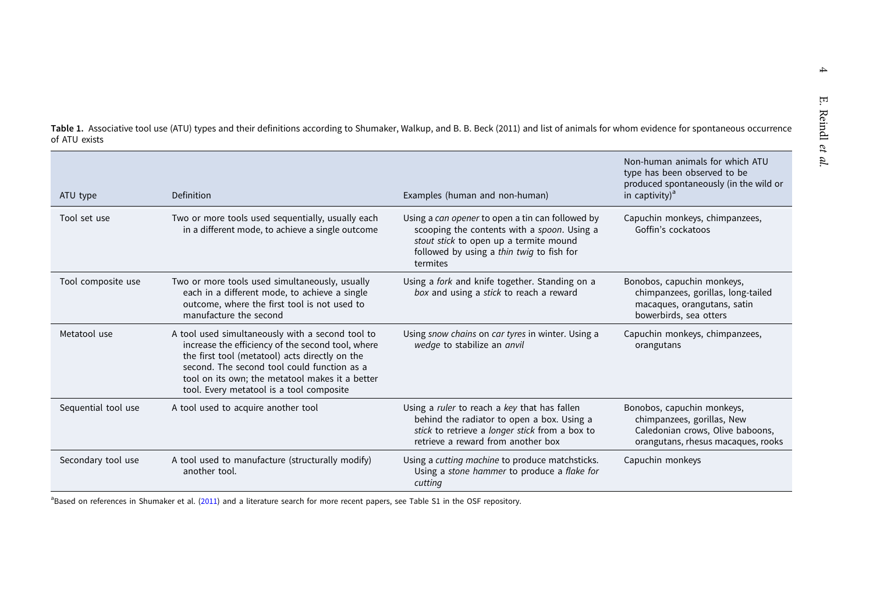| ATU type            | Definition                                                                                                                                                                                                                                                                                            | Examples (human and non-human)                                                                                                                                                                     | Non-human animals for which ATU<br>type has been observed to be<br>produced spontaneously (in the wild or<br>in captivity) $a$     |  |  |
|---------------------|-------------------------------------------------------------------------------------------------------------------------------------------------------------------------------------------------------------------------------------------------------------------------------------------------------|----------------------------------------------------------------------------------------------------------------------------------------------------------------------------------------------------|------------------------------------------------------------------------------------------------------------------------------------|--|--|
| Tool set use        | Two or more tools used sequentially, usually each<br>in a different mode, to achieve a single outcome                                                                                                                                                                                                 | Using a can opener to open a tin can followed by<br>scooping the contents with a spoon. Using a<br>stout stick to open up a termite mound<br>followed by using a thin twig to fish for<br>termites | Capuchin monkeys, chimpanzees,<br>Goffin's cockatoos                                                                               |  |  |
| Tool composite use  | Two or more tools used simultaneously, usually<br>each in a different mode, to achieve a single<br>outcome, where the first tool is not used to<br>manufacture the second                                                                                                                             | Using a fork and knife together. Standing on a<br>box and using a stick to reach a reward                                                                                                          | Bonobos, capuchin monkeys,<br>chimpanzees, gorillas, long-tailed<br>macaques, orangutans, satin<br>bowerbirds, sea otters          |  |  |
| Metatool use        | A tool used simultaneously with a second tool to<br>increase the efficiency of the second tool, where<br>the first tool (metatool) acts directly on the<br>second. The second tool could function as a<br>tool on its own; the metatool makes it a better<br>tool. Every metatool is a tool composite | Using snow chains on car tyres in winter. Using a<br>wedge to stabilize an anvil                                                                                                                   | Capuchin monkeys, chimpanzees,<br>orangutans                                                                                       |  |  |
| Sequential tool use | A tool used to acquire another tool                                                                                                                                                                                                                                                                   | Using a ruler to reach a key that has fallen<br>behind the radiator to open a box. Using a<br>stick to retrieve a longer stick from a box to<br>retrieve a reward from another box                 | Bonobos, capuchin monkeys,<br>chimpanzees, gorillas, New<br>Caledonian crows, Olive baboons,<br>orangutans, rhesus macaques, rooks |  |  |
| Secondary tool use  | A tool used to manufacture (structurally modify)<br>another tool.                                                                                                                                                                                                                                     | Using a cutting machine to produce matchsticks.<br>Using a stone hammer to produce a flake for<br>cutting                                                                                          | Capuchin monkeys                                                                                                                   |  |  |

<span id="page-4-0"></span>Table 1. Associative tool use (ATU) types and their definitions according to Shumaker, Walkup, and B. B. Beck (2011) and list of animals for whom evidence for spontaneous occurrence of ATU exists

<sup>a</sup>Based on references in Shumaker et al. ([2011](#page-22-0)) and a literature search for more recent papers, see Table S1 in the OSF repository.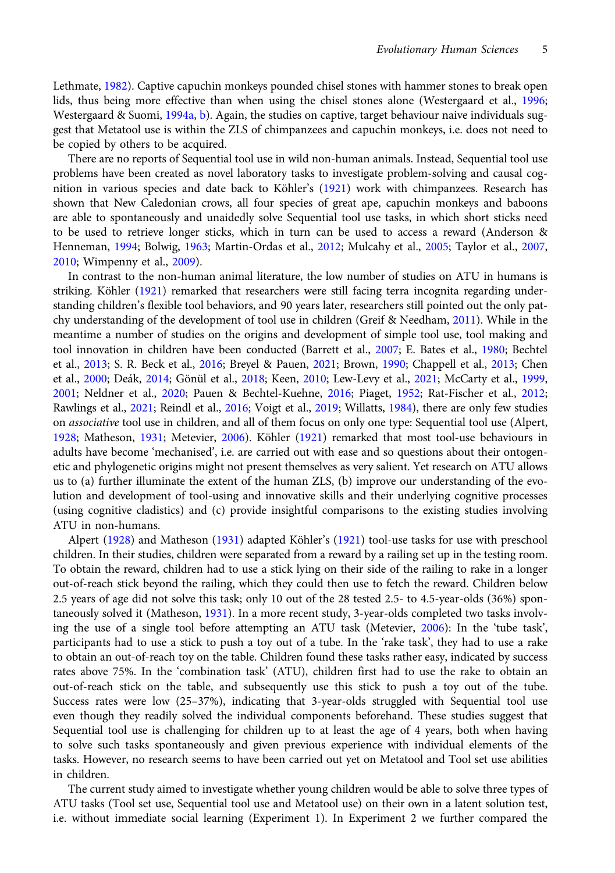Lethmate, [1982](#page-21-0)). Captive capuchin monkeys pounded chisel stones with hammer stones to break open lids, thus being more effective than when using the chisel stones alone (Westergaard et al., [1996](#page-23-0); Westergaard & Suomi, [1994a,](#page-23-0) [b](#page-23-0)). Again, the studies on captive, target behaviour naive individuals suggest that Metatool use is within the ZLS of chimpanzees and capuchin monkeys, i.e. does not need to be copied by others to be acquired.

There are no reports of Sequential tool use in wild non-human animals. Instead, Sequential tool use problems have been created as novel laboratory tasks to investigate problem-solving and causal cognition in various species and date back to Köhler's [\(1921](#page-21-0)) work with chimpanzees. Research has shown that New Caledonian crows, all four species of great ape, capuchin monkeys and baboons are able to spontaneously and unaidedly solve Sequential tool use tasks, in which short sticks need to be used to retrieve longer sticks, which in turn can be used to access a reward (Anderson & Henneman, [1994](#page-19-0); Bolwig, [1963;](#page-20-0) Martin-Ordas et al., [2012;](#page-21-0) Mulcahy et al., [2005;](#page-21-0) Taylor et al., [2007](#page-23-0), [2010](#page-22-0); Wimpenny et al., [2009\)](#page-23-0).

In contrast to the non-human animal literature, the low number of studies on ATU in humans is striking. Köhler ([1921](#page-21-0)) remarked that researchers were still facing terra incognita regarding understanding children's flexible tool behaviors, and 90 years later, researchers still pointed out the only patchy understanding of the development of tool use in children (Greif & Needham, [2011\)](#page-20-0). While in the meantime a number of studies on the origins and development of simple tool use, tool making and tool innovation in children have been conducted (Barrett et al., [2007;](#page-19-0) E. Bates et al., [1980](#page-19-0); Bechtel et al., [2013](#page-19-0); S. R. Beck et al., [2016;](#page-19-0) Breyel & Pauen, [2021;](#page-20-0) Brown, [1990](#page-20-0); Chappell et al., [2013;](#page-20-0) Chen et al., [2000;](#page-20-0) Deák, [2014;](#page-20-0) Gönül et al., [2018](#page-20-0); Keen, [2010;](#page-21-0) Lew-Levy et al., [2021;](#page-21-0) McCarty et al., [1999](#page-21-0), [2001](#page-21-0); Neldner et al., [2020;](#page-22-0) Pauen & Bechtel-Kuehne, [2016;](#page-22-0) Piaget, [1952;](#page-22-0) Rat-Fischer et al., [2012](#page-22-0); Rawlings et al., [2021](#page-22-0); Reindl et al., [2016](#page-22-0); Voigt et al., [2019](#page-23-0); Willatts, [1984\)](#page-23-0), there are only few studies on *associative* tool use in children, and all of them focus on only one type: Sequential tool use (Alpert, [1928](#page-19-0); Matheson, [1931](#page-21-0); Metevier, [2006](#page-21-0)). Köhler [\(1921\)](#page-21-0) remarked that most tool-use behaviours in adults have become 'mechanised', i.e. are carried out with ease and so questions about their ontogenetic and phylogenetic origins might not present themselves as very salient. Yet research on ATU allows us to (a) further illuminate the extent of the human ZLS, (b) improve our understanding of the evolution and development of tool-using and innovative skills and their underlying cognitive processes (using cognitive cladistics) and (c) provide insightful comparisons to the existing studies involving ATU in non-humans.

Alpert [\(1928\)](#page-19-0) and Matheson [\(1931](#page-21-0)) adapted Köhler's ([1921](#page-21-0)) tool-use tasks for use with preschool children. In their studies, children were separated from a reward by a railing set up in the testing room. To obtain the reward, children had to use a stick lying on their side of the railing to rake in a longer out-of-reach stick beyond the railing, which they could then use to fetch the reward. Children below 2.5 years of age did not solve this task; only 10 out of the 28 tested 2.5- to 4.5-year-olds (36%) spontaneously solved it (Matheson, [1931\)](#page-21-0). In a more recent study, 3-year-olds completed two tasks involving the use of a single tool before attempting an ATU task (Metevier, [2006](#page-21-0)): In the 'tube task', participants had to use a stick to push a toy out of a tube. In the 'rake task', they had to use a rake to obtain an out-of-reach toy on the table. Children found these tasks rather easy, indicated by success rates above 75%. In the 'combination task' (ATU), children first had to use the rake to obtain an out-of-reach stick on the table, and subsequently use this stick to push a toy out of the tube. Success rates were low (25–37%), indicating that 3-year-olds struggled with Sequential tool use even though they readily solved the individual components beforehand. These studies suggest that Sequential tool use is challenging for children up to at least the age of 4 years, both when having to solve such tasks spontaneously and given previous experience with individual elements of the tasks. However, no research seems to have been carried out yet on Metatool and Tool set use abilities in children.

The current study aimed to investigate whether young children would be able to solve three types of ATU tasks (Tool set use, Sequential tool use and Metatool use) on their own in a latent solution test, i.e. without immediate social learning (Experiment 1). In Experiment 2 we further compared the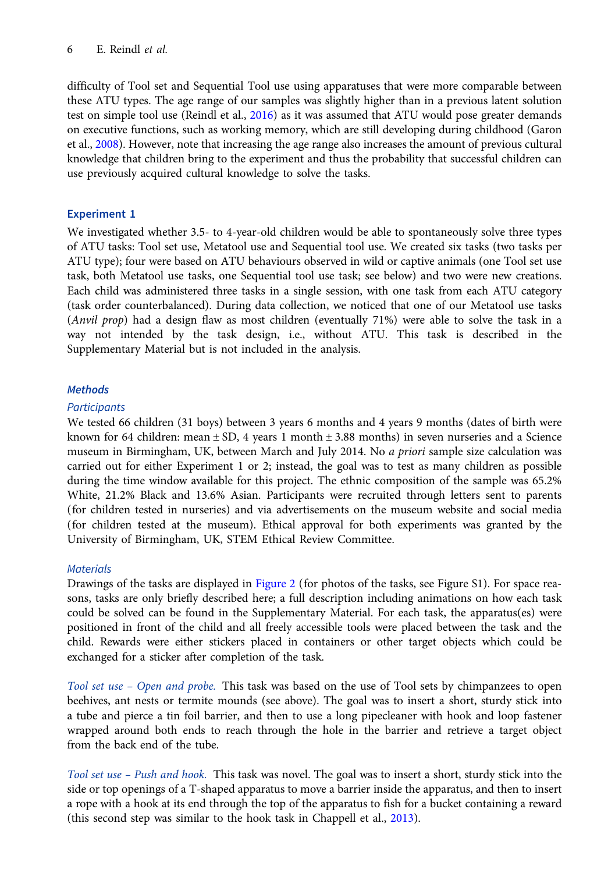difficulty of Tool set and Sequential Tool use using apparatuses that were more comparable between these ATU types. The age range of our samples was slightly higher than in a previous latent solution test on simple tool use (Reindl et al., [2016](#page-22-0)) as it was assumed that ATU would pose greater demands on executive functions, such as working memory, which are still developing during childhood (Garon et al., [2008](#page-20-0)). However, note that increasing the age range also increases the amount of previous cultural knowledge that children bring to the experiment and thus the probability that successful children can use previously acquired cultural knowledge to solve the tasks.

# Experiment 1

We investigated whether 3.5- to 4-year-old children would be able to spontaneously solve three types of ATU tasks: Tool set use, Metatool use and Sequential tool use. We created six tasks (two tasks per ATU type); four were based on ATU behaviours observed in wild or captive animals (one Tool set use task, both Metatool use tasks, one Sequential tool use task; see below) and two were new creations. Each child was administered three tasks in a single session, with one task from each ATU category (task order counterbalanced). During data collection, we noticed that one of our Metatool use tasks (Anvil prop) had a design flaw as most children (eventually 71%) were able to solve the task in a way not intended by the task design, i.e., without ATU. This task is described in the Supplementary Material but is not included in the analysis.

# Methods

# **Participants**

We tested 66 children (31 boys) between 3 years 6 months and 4 years 9 months (dates of birth were known for 64 children: mean  $\pm$  SD, 4 years 1 month  $\pm$  3.88 months) in seven nurseries and a Science museum in Birmingham, UK, between March and July 2014. No a priori sample size calculation was carried out for either Experiment 1 or 2; instead, the goal was to test as many children as possible during the time window available for this project. The ethnic composition of the sample was 65.2% White, 21.2% Black and 13.6% Asian. Participants were recruited through letters sent to parents (for children tested in nurseries) and via advertisements on the museum website and social media (for children tested at the museum). Ethical approval for both experiments was granted by the University of Birmingham, UK, STEM Ethical Review Committee.

# **Materials**

Drawings of the tasks are displayed in [Figure 2](#page-7-0) (for photos of the tasks, see Figure S1). For space reasons, tasks are only briefly described here; a full description including animations on how each task could be solved can be found in the Supplementary Material. For each task, the apparatus(es) were positioned in front of the child and all freely accessible tools were placed between the task and the child. Rewards were either stickers placed in containers or other target objects which could be exchanged for a sticker after completion of the task.

Tool set use – Open and probe. This task was based on the use of Tool sets by chimpanzees to open beehives, ant nests or termite mounds (see above). The goal was to insert a short, sturdy stick into a tube and pierce a tin foil barrier, and then to use a long pipecleaner with hook and loop fastener wrapped around both ends to reach through the hole in the barrier and retrieve a target object from the back end of the tube.

Tool set use – Push and hook. This task was novel. The goal was to insert a short, sturdy stick into the side or top openings of a T-shaped apparatus to move a barrier inside the apparatus, and then to insert a rope with a hook at its end through the top of the apparatus to fish for a bucket containing a reward (this second step was similar to the hook task in Chappell et al., [2013\)](#page-20-0).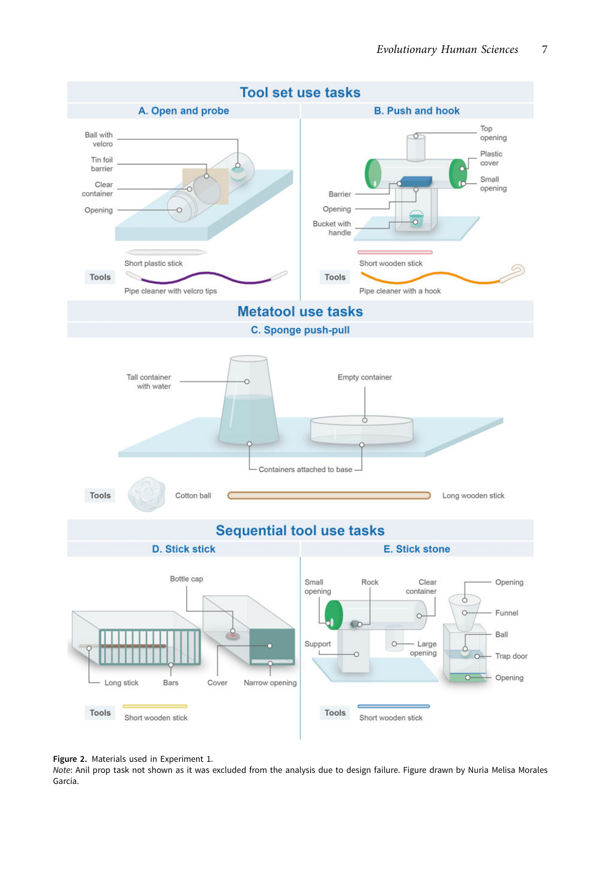<span id="page-7-0"></span>



Note: Anil prop task not shown as it was excluded from the analysis due to design failure. Figure drawn by Nuria Melisa Morales García.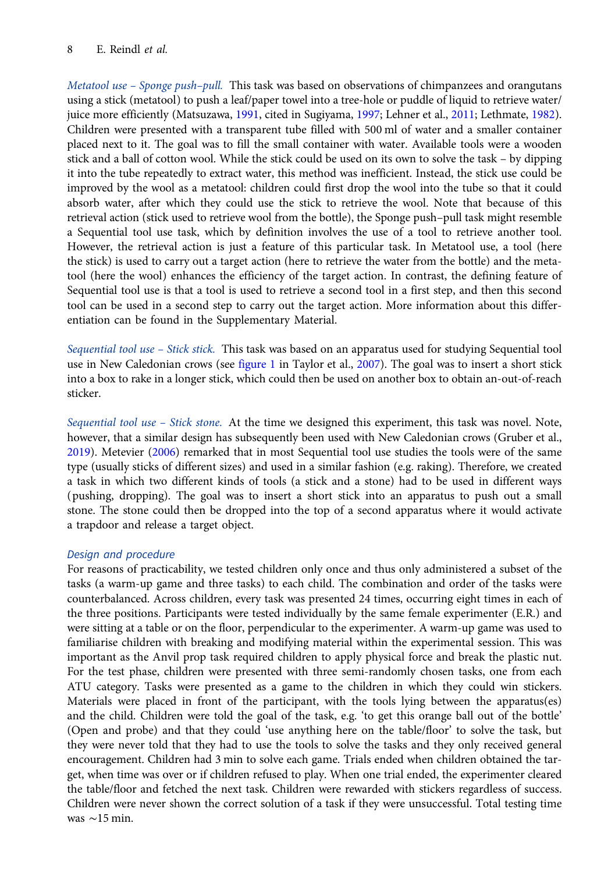Metatool use – Sponge push–pull. This task was based on observations of chimpanzees and orangutans using a stick (metatool) to push a leaf/paper towel into a tree-hole or puddle of liquid to retrieve water/ juice more efficiently (Matsuzawa, [1991,](#page-21-0) cited in Sugiyama, [1997;](#page-22-0) Lehner et al., [2011;](#page-21-0) Lethmate, [1982](#page-21-0)). Children were presented with a transparent tube filled with 500 ml of water and a smaller container placed next to it. The goal was to fill the small container with water. Available tools were a wooden stick and a ball of cotton wool. While the stick could be used on its own to solve the task – by dipping it into the tube repeatedly to extract water, this method was inefficient. Instead, the stick use could be improved by the wool as a metatool: children could first drop the wool into the tube so that it could absorb water, after which they could use the stick to retrieve the wool. Note that because of this retrieval action (stick used to retrieve wool from the bottle), the Sponge push–pull task might resemble a Sequential tool use task, which by definition involves the use of a tool to retrieve another tool. However, the retrieval action is just a feature of this particular task. In Metatool use, a tool (here the stick) is used to carry out a target action (here to retrieve the water from the bottle) and the metatool (here the wool) enhances the efficiency of the target action. In contrast, the defining feature of Sequential tool use is that a tool is used to retrieve a second tool in a first step, and then this second tool can be used in a second step to carry out the target action. More information about this differentiation can be found in the Supplementary Material.

Sequential tool use – Stick stick. This task was based on an apparatus used for studying Sequential tool use in New Caledonian crows (see [figure 1](#page-3-0) in Taylor et al., [2007](#page-23-0)). The goal was to insert a short stick into a box to rake in a longer stick, which could then be used on another box to obtain an-out-of-reach sticker.

Sequential tool use - Stick stone. At the time we designed this experiment, this task was novel. Note, however, that a similar design has subsequently been used with New Caledonian crows (Gruber et al., [2019\)](#page-20-0). Metevier [\(2006\)](#page-21-0) remarked that in most Sequential tool use studies the tools were of the same type (usually sticks of different sizes) and used in a similar fashion (e.g. raking). Therefore, we created a task in which two different kinds of tools (a stick and a stone) had to be used in different ways (pushing, dropping). The goal was to insert a short stick into an apparatus to push out a small stone. The stone could then be dropped into the top of a second apparatus where it would activate a trapdoor and release a target object.

# Design and procedure

For reasons of practicability, we tested children only once and thus only administered a subset of the tasks (a warm-up game and three tasks) to each child. The combination and order of the tasks were counterbalanced. Across children, every task was presented 24 times, occurring eight times in each of the three positions. Participants were tested individually by the same female experimenter (E.R.) and were sitting at a table or on the floor, perpendicular to the experimenter. A warm-up game was used to familiarise children with breaking and modifying material within the experimental session. This was important as the Anvil prop task required children to apply physical force and break the plastic nut. For the test phase, children were presented with three semi-randomly chosen tasks, one from each ATU category. Tasks were presented as a game to the children in which they could win stickers. Materials were placed in front of the participant, with the tools lying between the apparatus(es) and the child. Children were told the goal of the task, e.g. 'to get this orange ball out of the bottle' (Open and probe) and that they could 'use anything here on the table/floor' to solve the task, but they were never told that they had to use the tools to solve the tasks and they only received general encouragement. Children had 3 min to solve each game. Trials ended when children obtained the target, when time was over or if children refused to play. When one trial ended, the experimenter cleared the table/floor and fetched the next task. Children were rewarded with stickers regardless of success. Children were never shown the correct solution of a task if they were unsuccessful. Total testing time was ∼15 min.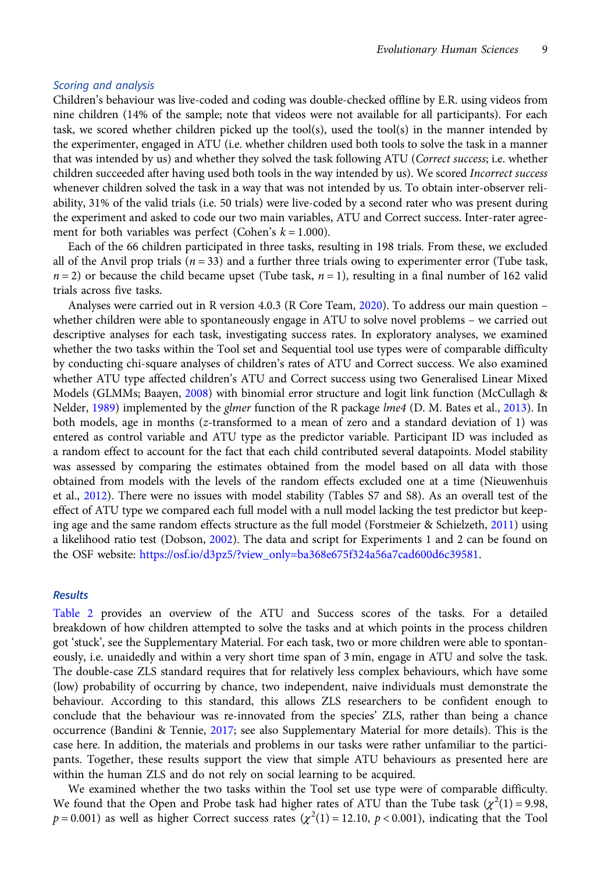#### Scoring and analysis

Children's behaviour was live-coded and coding was double-checked offline by E.R. using videos from nine children (14% of the sample; note that videos were not available for all participants). For each task, we scored whether children picked up the tool(s), used the tool(s) in the manner intended by the experimenter, engaged in ATU (i.e. whether children used both tools to solve the task in a manner that was intended by us) and whether they solved the task following ATU (Correct success; i.e. whether children succeeded after having used both tools in the way intended by us). We scored *Incorrect success* whenever children solved the task in a way that was not intended by us. To obtain inter-observer reliability, 31% of the valid trials (i.e. 50 trials) were live-coded by a second rater who was present during the experiment and asked to code our two main variables, ATU and Correct success. Inter-rater agreement for both variables was perfect (Cohen's  $k = 1.000$ ).

Each of the 66 children participated in three tasks, resulting in 198 trials. From these, we excluded all of the Anvil prop trials ( $n = 33$ ) and a further three trials owing to experimenter error (Tube task,  $n = 2$ ) or because the child became upset (Tube task,  $n = 1$ ), resulting in a final number of 162 valid trials across five tasks.

Analyses were carried out in R version 4.0.3 (R Core Team, [2020\)](#page-22-0). To address our main question – whether children were able to spontaneously engage in ATU to solve novel problems – we carried out descriptive analyses for each task, investigating success rates. In exploratory analyses, we examined whether the two tasks within the Tool set and Sequential tool use types were of comparable difficulty by conducting chi-square analyses of children's rates of ATU and Correct success. We also examined whether ATU type affected children's ATU and Correct success using two Generalised Linear Mixed Models (GLMMs; Baayen, [2008](#page-19-0)) with binomial error structure and logit link function (McCullagh & Nelder, [1989\)](#page-21-0) implemented by the *glmer* function of the R package *lme4* (D. M. Bates et al., [2013\)](#page-19-0). In both models, age in months (z-transformed to a mean of zero and a standard deviation of 1) was entered as control variable and ATU type as the predictor variable. Participant ID was included as a random effect to account for the fact that each child contributed several datapoints. Model stability was assessed by comparing the estimates obtained from the model based on all data with those obtained from models with the levels of the random effects excluded one at a time (Nieuwenhuis et al., [2012\)](#page-22-0). There were no issues with model stability (Tables S7 and S8). As an overall test of the effect of ATU type we compared each full model with a null model lacking the test predictor but keep-ing age and the same random effects structure as the full model (Forstmeier & Schielzeth, [2011](#page-20-0)) using a likelihood ratio test (Dobson, [2002\)](#page-20-0). The data and script for Experiments 1 and 2 can be found on the OSF website: [https://osf.io/d3pz5/?view\\_only=ba368e675f324a56a7cad600d6c39581](https://osf.io/d3pz5/?view_only=ba368e675f324a56a7cad600d6c39581).

#### Results

[Table 2](#page-10-0) provides an overview of the ATU and Success scores of the tasks. For a detailed breakdown of how children attempted to solve the tasks and at which points in the process children got 'stuck', see the Supplementary Material. For each task, two or more children were able to spontaneously, i.e. unaidedly and within a very short time span of 3 min, engage in ATU and solve the task. The double-case ZLS standard requires that for relatively less complex behaviours, which have some (low) probability of occurring by chance, two independent, naive individuals must demonstrate the behaviour. According to this standard, this allows ZLS researchers to be confident enough to conclude that the behaviour was re-innovated from the species' ZLS, rather than being a chance occurrence (Bandini & Tennie, [2017](#page-19-0); see also Supplementary Material for more details). This is the case here. In addition, the materials and problems in our tasks were rather unfamiliar to the participants. Together, these results support the view that simple ATU behaviours as presented here are within the human ZLS and do not rely on social learning to be acquired.

We examined whether the two tasks within the Tool set use type were of comparable difficulty. We found that the Open and Probe task had higher rates of ATU than the Tube task  $(\chi^2(1) = 9.98,$  $p = 0.001$ ) as well as higher Correct success rates  $(\chi^2(1) = 12.10, p < 0.001)$ , indicating that the Tool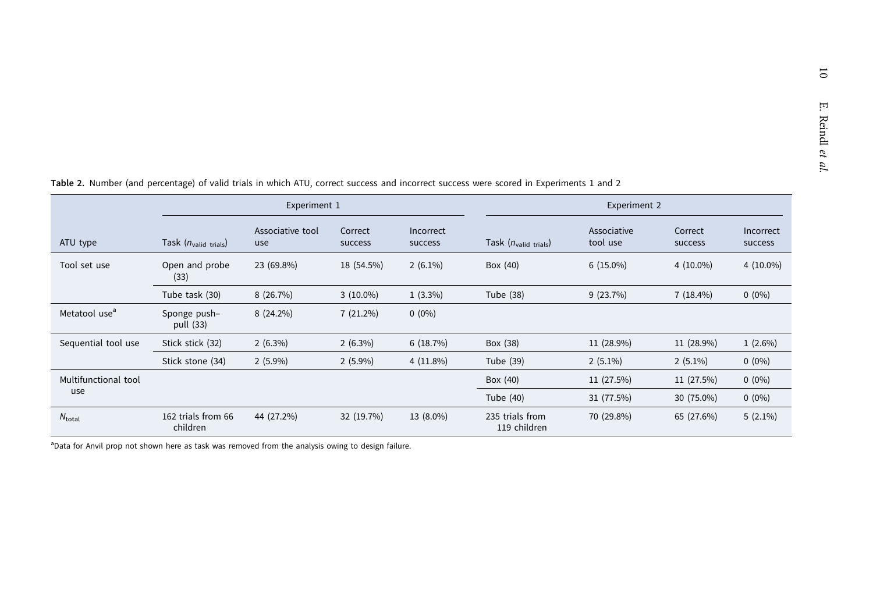|                           | Experiment 1                   |                         |                    | Experiment 2         |                                 |                         |                    |                      |
|---------------------------|--------------------------------|-------------------------|--------------------|----------------------|---------------------------------|-------------------------|--------------------|----------------------|
| ATU type                  | Task $(n_{valid trials})$      | Associative tool<br>use | Correct<br>success | Incorrect<br>success | Task $(n_{valid\ trials})$      | Associative<br>tool use | Correct<br>success | Incorrect<br>success |
| Tool set use              | Open and probe<br>(33)         | 23 (69.8%)              | 18 (54.5%)         | $2(6.1\%)$           | Box (40)                        | $6(15.0\%)$             | $4(10.0\%)$        | $4(10.0\%)$          |
|                           | Tube task (30)                 | 8(26.7%)                | $3(10.0\%)$        | $1(3.3\%)$           | Tube (38)                       | 9(23.7%)                | $7(18.4\%)$        | $0(0\%)$             |
| Metatool use <sup>a</sup> | Sponge push-<br>pull (33)      | $8(24.2\%)$             | $7(21.2\%)$        | $0(0\%)$             |                                 |                         |                    |                      |
| Sequential tool use       | Stick stick (32)               | $2(6.3\%)$              | $2(6.3\%)$         | 6(18.7%)             | Box (38)                        | 11 (28.9%)              | 11 (28.9%)         | $1(2.6\%)$           |
|                           | Stick stone (34)               | $2(5.9\%)$              | $2(5.9\%)$         | $4(11.8\%)$          | Tube (39)                       | $2(5.1\%)$              | $2(5.1\%)$         | $0(0\%)$             |
| Multifunctional tool      |                                |                         |                    |                      | Box (40)                        | 11 (27.5%)              | 11 (27.5%)         | $0(0\%)$             |
| use                       |                                |                         |                    |                      | Tube (40)                       | 31 (77.5%)              | 30 (75.0%)         | $0(0\%)$             |
| $N_{\text{total}}$        | 162 trials from 66<br>children | 44 (27.2%)              | 32 (19.7%)         | 13 (8.0%)            | 235 trials from<br>119 children | 70 (29.8%)              | 65 (27.6%)         | $5(2.1\%)$           |

<span id="page-10-0"></span>Table 2. Number (and percentage) of valid trials in which ATU, correct success and incorrect success were scored in Experiments <sup>1</sup> and <sup>2</sup>

<sup>a</sup>Data for Anvil prop not shown here as task was removed from the analysis owing to design failure.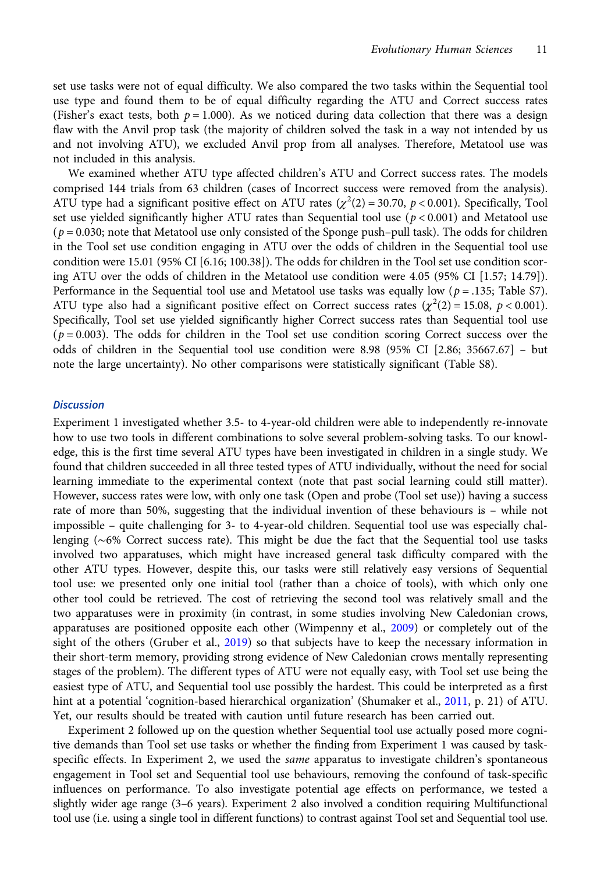set use tasks were not of equal difficulty. We also compared the two tasks within the Sequential tool use type and found them to be of equal difficulty regarding the ATU and Correct success rates (Fisher's exact tests, both  $p = 1.000$ ). As we noticed during data collection that there was a design flaw with the Anvil prop task (the majority of children solved the task in a way not intended by us and not involving ATU), we excluded Anvil prop from all analyses. Therefore, Metatool use was not included in this analysis.

We examined whether ATU type affected children's ATU and Correct success rates. The models comprised 144 trials from 63 children (cases of Incorrect success were removed from the analysis). ATU type had a significant positive effect on ATU rates ( $\chi^2(2)$  = 30.70, p < 0.001). Specifically, Tool set use yielded significantly higher ATU rates than Sequential tool use ( $p < 0.001$ ) and Metatool use  $(p = 0.030;$  note that Metatool use only consisted of the Sponge push–pull task). The odds for children in the Tool set use condition engaging in ATU over the odds of children in the Sequential tool use condition were 15.01 (95% CI [6.16; 100.38]). The odds for children in the Tool set use condition scoring ATU over the odds of children in the Metatool use condition were 4.05 (95% CI [1.57; 14.79]). Performance in the Sequential tool use and Metatool use tasks was equally low ( $p = .135$ ; Table S7). ATU type also had a significant positive effect on Correct success rates  $(\chi^2(2) = 15.08, p < 0.001)$ . Specifically, Tool set use yielded significantly higher Correct success rates than Sequential tool use  $(p=0.003)$ . The odds for children in the Tool set use condition scoring Correct success over the odds of children in the Sequential tool use condition were 8.98 (95% CI [2.86; 35667.67] – but note the large uncertainty). No other comparisons were statistically significant (Table S8).

#### **Discussion**

Experiment 1 investigated whether 3.5- to 4-year-old children were able to independently re-innovate how to use two tools in different combinations to solve several problem-solving tasks. To our knowledge, this is the first time several ATU types have been investigated in children in a single study. We found that children succeeded in all three tested types of ATU individually, without the need for social learning immediate to the experimental context (note that past social learning could still matter). However, success rates were low, with only one task (Open and probe (Tool set use)) having a success rate of more than 50%, suggesting that the individual invention of these behaviours is – while not impossible – quite challenging for 3- to 4-year-old children. Sequential tool use was especially challenging (∼6% Correct success rate). This might be due the fact that the Sequential tool use tasks involved two apparatuses, which might have increased general task difficulty compared with the other ATU types. However, despite this, our tasks were still relatively easy versions of Sequential tool use: we presented only one initial tool (rather than a choice of tools), with which only one other tool could be retrieved. The cost of retrieving the second tool was relatively small and the two apparatuses were in proximity (in contrast, in some studies involving New Caledonian crows, apparatuses are positioned opposite each other (Wimpenny et al., [2009](#page-23-0)) or completely out of the sight of the others (Gruber et al., [2019\)](#page-20-0) so that subjects have to keep the necessary information in their short-term memory, providing strong evidence of New Caledonian crows mentally representing stages of the problem). The different types of ATU were not equally easy, with Tool set use being the easiest type of ATU, and Sequential tool use possibly the hardest. This could be interpreted as a first hint at a potential 'cognition-based hierarchical organization' (Shumaker et al., [2011](#page-22-0), p. 21) of ATU. Yet, our results should be treated with caution until future research has been carried out.

Experiment 2 followed up on the question whether Sequential tool use actually posed more cognitive demands than Tool set use tasks or whether the finding from Experiment 1 was caused by taskspecific effects. In Experiment 2, we used the *same* apparatus to investigate children's spontaneous engagement in Tool set and Sequential tool use behaviours, removing the confound of task-specific influences on performance. To also investigate potential age effects on performance, we tested a slightly wider age range (3–6 years). Experiment 2 also involved a condition requiring Multifunctional tool use (i.e. using a single tool in different functions) to contrast against Tool set and Sequential tool use.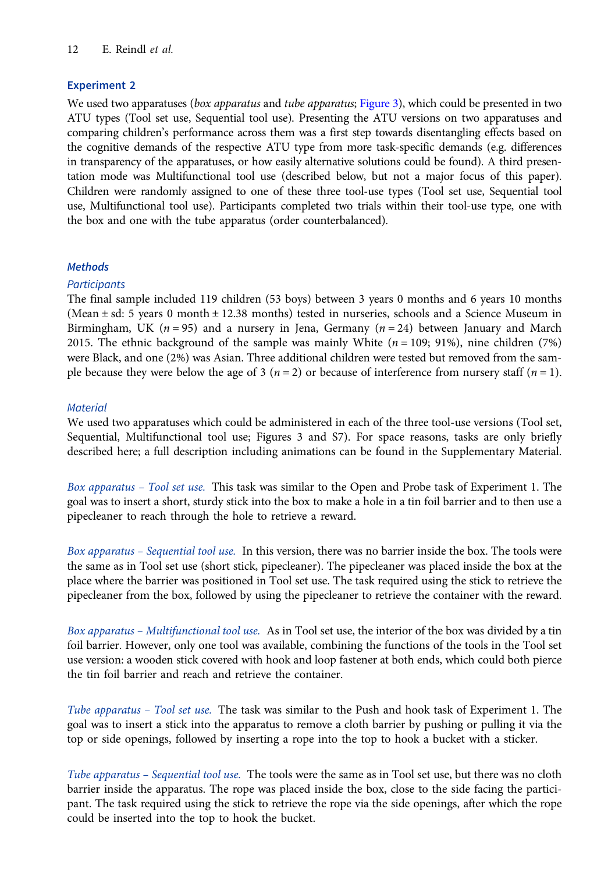# Experiment 2

We used two apparatuses (box apparatus and tube apparatus; [Figure 3\)](#page-13-0), which could be presented in two ATU types (Tool set use, Sequential tool use). Presenting the ATU versions on two apparatuses and comparing children's performance across them was a first step towards disentangling effects based on the cognitive demands of the respective ATU type from more task-specific demands (e.g. differences in transparency of the apparatuses, or how easily alternative solutions could be found). A third presentation mode was Multifunctional tool use (described below, but not a major focus of this paper). Children were randomly assigned to one of these three tool-use types (Tool set use, Sequential tool use, Multifunctional tool use). Participants completed two trials within their tool-use type, one with the box and one with the tube apparatus (order counterbalanced).

# **Methods**

# **Participants**

The final sample included 119 children (53 boys) between 3 years 0 months and 6 years 10 months (Mean ± sd: 5 years 0 month ± 12.38 months) tested in nurseries, schools and a Science Museum in Birmingham, UK ( $n = 95$ ) and a nursery in Jena, Germany ( $n = 24$ ) between January and March 2015. The ethnic background of the sample was mainly White  $(n = 109; 91\%)$ , nine children (7%) were Black, and one (2%) was Asian. Three additional children were tested but removed from the sample because they were below the age of 3 ( $n = 2$ ) or because of interference from nursery staff ( $n = 1$ ).

# **Material**

We used two apparatuses which could be administered in each of the three tool-use versions (Tool set, Sequential, Multifunctional tool use; Figures 3 and S7). For space reasons, tasks are only briefly described here; a full description including animations can be found in the Supplementary Material.

Box apparatus – Tool set use. This task was similar to the Open and Probe task of Experiment 1. The goal was to insert a short, sturdy stick into the box to make a hole in a tin foil barrier and to then use a pipecleaner to reach through the hole to retrieve a reward.

Box apparatus – Sequential tool use. In this version, there was no barrier inside the box. The tools were the same as in Tool set use (short stick, pipecleaner). The pipecleaner was placed inside the box at the place where the barrier was positioned in Tool set use. The task required using the stick to retrieve the pipecleaner from the box, followed by using the pipecleaner to retrieve the container with the reward.

Box apparatus – Multifunctional tool use. As in Tool set use, the interior of the box was divided by a tin foil barrier. However, only one tool was available, combining the functions of the tools in the Tool set use version: a wooden stick covered with hook and loop fastener at both ends, which could both pierce the tin foil barrier and reach and retrieve the container.

Tube apparatus – Tool set use. The task was similar to the Push and hook task of Experiment 1. The goal was to insert a stick into the apparatus to remove a cloth barrier by pushing or pulling it via the top or side openings, followed by inserting a rope into the top to hook a bucket with a sticker.

Tube apparatus – Sequential tool use. The tools were the same as in Tool set use, but there was no cloth barrier inside the apparatus. The rope was placed inside the box, close to the side facing the participant. The task required using the stick to retrieve the rope via the side openings, after which the rope could be inserted into the top to hook the bucket.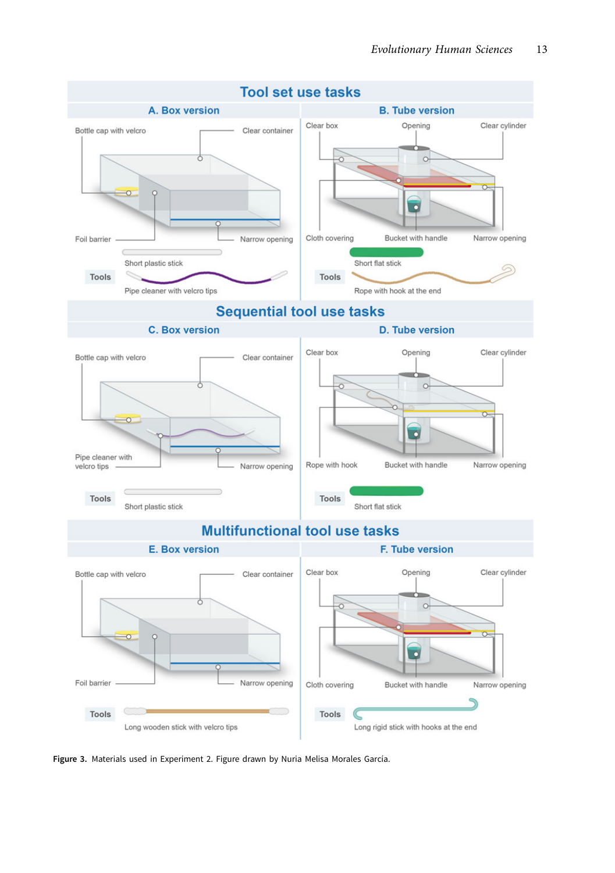<span id="page-13-0"></span>

Figure 3. Materials used in Experiment 2. Figure drawn by Nuria Melisa Morales García.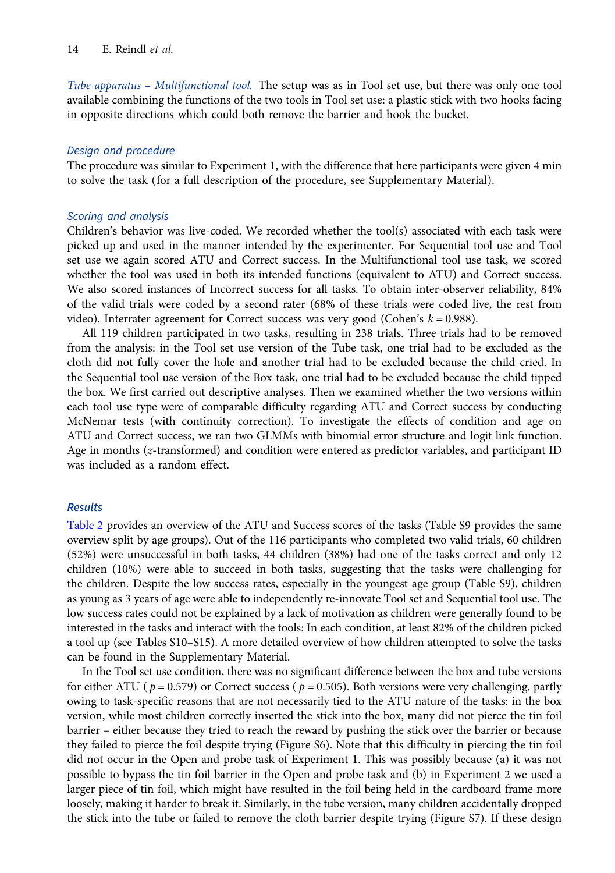Tube apparatus – Multifunctional tool. The setup was as in Tool set use, but there was only one tool available combining the functions of the two tools in Tool set use: a plastic stick with two hooks facing in opposite directions which could both remove the barrier and hook the bucket.

#### Design and procedure

The procedure was similar to Experiment 1, with the difference that here participants were given 4 min to solve the task (for a full description of the procedure, see Supplementary Material).

#### Scoring and analysis

Children's behavior was live-coded. We recorded whether the tool(s) associated with each task were picked up and used in the manner intended by the experimenter. For Sequential tool use and Tool set use we again scored ATU and Correct success. In the Multifunctional tool use task, we scored whether the tool was used in both its intended functions (equivalent to ATU) and Correct success. We also scored instances of Incorrect success for all tasks. To obtain inter-observer reliability, 84% of the valid trials were coded by a second rater (68% of these trials were coded live, the rest from video). Interrater agreement for Correct success was very good (Cohen's  $k = 0.988$ ).

All 119 children participated in two tasks, resulting in 238 trials. Three trials had to be removed from the analysis: in the Tool set use version of the Tube task, one trial had to be excluded as the cloth did not fully cover the hole and another trial had to be excluded because the child cried. In the Sequential tool use version of the Box task, one trial had to be excluded because the child tipped the box. We first carried out descriptive analyses. Then we examined whether the two versions within each tool use type were of comparable difficulty regarding ATU and Correct success by conducting McNemar tests (with continuity correction). To investigate the effects of condition and age on ATU and Correct success, we ran two GLMMs with binomial error structure and logit link function. Age in months (z-transformed) and condition were entered as predictor variables, and participant ID was included as a random effect.

### Results

[Table 2](#page-10-0) provides an overview of the ATU and Success scores of the tasks (Table S9 provides the same overview split by age groups). Out of the 116 participants who completed two valid trials, 60 children (52%) were unsuccessful in both tasks, 44 children (38%) had one of the tasks correct and only 12 children (10%) were able to succeed in both tasks, suggesting that the tasks were challenging for the children. Despite the low success rates, especially in the youngest age group (Table S9), children as young as 3 years of age were able to independently re-innovate Tool set and Sequential tool use. The low success rates could not be explained by a lack of motivation as children were generally found to be interested in the tasks and interact with the tools: In each condition, at least 82% of the children picked a tool up (see Tables S10–S15). A more detailed overview of how children attempted to solve the tasks can be found in the Supplementary Material.

In the Tool set use condition, there was no significant difference between the box and tube versions for either ATU ( $p = 0.579$ ) or Correct success ( $p = 0.505$ ). Both versions were very challenging, partly owing to task-specific reasons that are not necessarily tied to the ATU nature of the tasks: in the box version, while most children correctly inserted the stick into the box, many did not pierce the tin foil barrier – either because they tried to reach the reward by pushing the stick over the barrier or because they failed to pierce the foil despite trying (Figure S6). Note that this difficulty in piercing the tin foil did not occur in the Open and probe task of Experiment 1. This was possibly because (a) it was not possible to bypass the tin foil barrier in the Open and probe task and (b) in Experiment 2 we used a larger piece of tin foil, which might have resulted in the foil being held in the cardboard frame more loosely, making it harder to break it. Similarly, in the tube version, many children accidentally dropped the stick into the tube or failed to remove the cloth barrier despite trying (Figure S7). If these design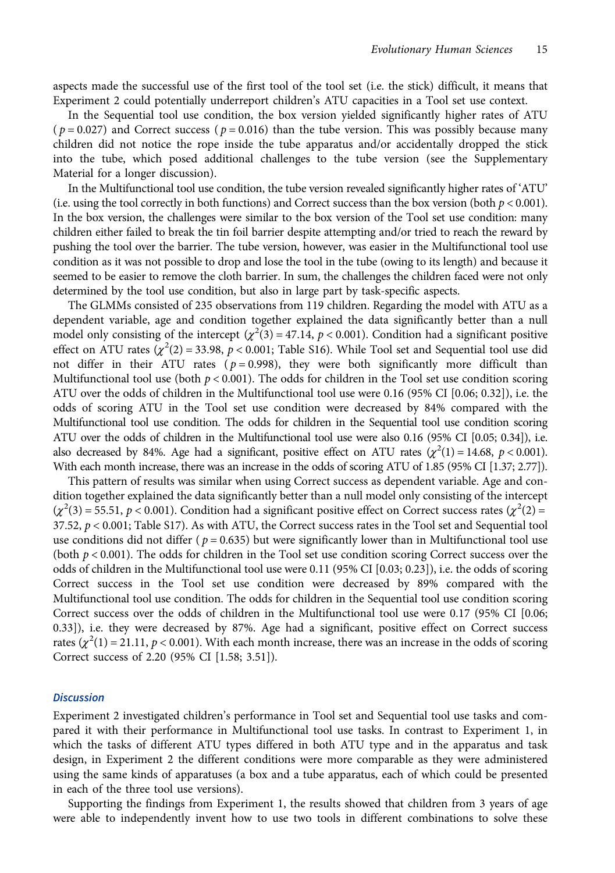aspects made the successful use of the first tool of the tool set (i.e. the stick) difficult, it means that Experiment 2 could potentially underreport children's ATU capacities in a Tool set use context.

In the Sequential tool use condition, the box version yielded significantly higher rates of ATU ( $p = 0.027$ ) and Correct success ( $p = 0.016$ ) than the tube version. This was possibly because many children did not notice the rope inside the tube apparatus and/or accidentally dropped the stick into the tube, which posed additional challenges to the tube version (see the Supplementary Material for a longer discussion).

In the Multifunctional tool use condition, the tube version revealed significantly higher rates of 'ATU' (i.e. using the tool correctly in both functions) and Correct success than the box version (both  $p < 0.001$ ). In the box version, the challenges were similar to the box version of the Tool set use condition: many children either failed to break the tin foil barrier despite attempting and/or tried to reach the reward by pushing the tool over the barrier. The tube version, however, was easier in the Multifunctional tool use condition as it was not possible to drop and lose the tool in the tube (owing to its length) and because it seemed to be easier to remove the cloth barrier. In sum, the challenges the children faced were not only determined by the tool use condition, but also in large part by task-specific aspects.

The GLMMs consisted of 235 observations from 119 children. Regarding the model with ATU as a dependent variable, age and condition together explained the data significantly better than a null model only consisting of the intercept ( $\chi^2(3)$  = 47.14, p < 0.001). Condition had a significant positive effect on ATU rates  $\left(\chi^2(2) = 33.98, p < 0.001;$  Table S16). While Tool set and Sequential tool use did not differ in their ATU rates ( $p = 0.998$ ), they were both significantly more difficult than Multifunctional tool use (both  $p < 0.001$ ). The odds for children in the Tool set use condition scoring ATU over the odds of children in the Multifunctional tool use were 0.16 (95% CI [0.06; 0.32]), i.e. the odds of scoring ATU in the Tool set use condition were decreased by 84% compared with the Multifunctional tool use condition. The odds for children in the Sequential tool use condition scoring ATU over the odds of children in the Multifunctional tool use were also 0.16 (95% CI [0.05; 0.34]), i.e. also decreased by 84%. Age had a significant, positive effect on ATU rates  $(\chi^2(1) = 14.68, p < 0.001)$ . With each month increase, there was an increase in the odds of scoring ATU of 1.85 (95% CI [1.37; 2.77]).

This pattern of results was similar when using Correct success as dependent variable. Age and condition together explained the data significantly better than a null model only consisting of the intercept  $(\chi^2(3) = 55.51, p < 0.001)$ . Condition had a significant positive effect on Correct success rates  $(\chi^2(2) =$ 37.52, p < 0.001; Table S17). As with ATU, the Correct success rates in the Tool set and Sequential tool use conditions did not differ ( $p = 0.635$ ) but were significantly lower than in Multifunctional tool use (both  $p < 0.001$ ). The odds for children in the Tool set use condition scoring Correct success over the odds of children in the Multifunctional tool use were 0.11 (95% CI [0.03; 0.23]), i.e. the odds of scoring Correct success in the Tool set use condition were decreased by 89% compared with the Multifunctional tool use condition. The odds for children in the Sequential tool use condition scoring Correct success over the odds of children in the Multifunctional tool use were 0.17 (95% CI [0.06; 0.33]), i.e. they were decreased by 87%. Age had a significant, positive effect on Correct success rates ( $\chi^2(1) = 21.11$ ,  $p < 0.001$ ). With each month increase, there was an increase in the odds of scoring Correct success of 2.20 (95% CI [1.58; 3.51]).

#### **Discussion**

Experiment 2 investigated children's performance in Tool set and Sequential tool use tasks and compared it with their performance in Multifunctional tool use tasks. In contrast to Experiment 1, in which the tasks of different ATU types differed in both ATU type and in the apparatus and task design, in Experiment 2 the different conditions were more comparable as they were administered using the same kinds of apparatuses (a box and a tube apparatus, each of which could be presented in each of the three tool use versions).

Supporting the findings from Experiment 1, the results showed that children from 3 years of age were able to independently invent how to use two tools in different combinations to solve these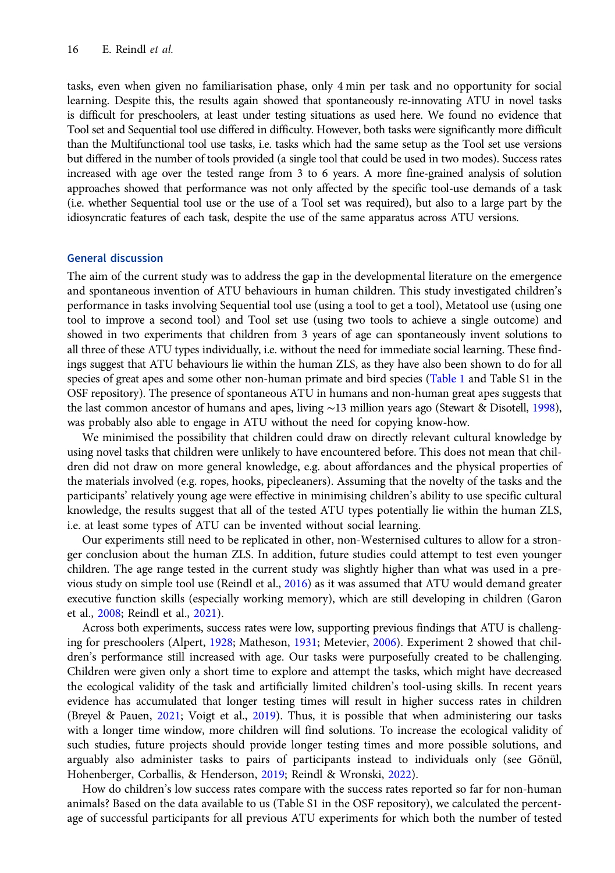tasks, even when given no familiarisation phase, only 4 min per task and no opportunity for social learning. Despite this, the results again showed that spontaneously re-innovating ATU in novel tasks is difficult for preschoolers, at least under testing situations as used here. We found no evidence that Tool set and Sequential tool use differed in difficulty. However, both tasks were significantly more difficult than the Multifunctional tool use tasks, i.e. tasks which had the same setup as the Tool set use versions but differed in the number of tools provided (a single tool that could be used in two modes). Success rates increased with age over the tested range from 3 to 6 years. A more fine-grained analysis of solution approaches showed that performance was not only affected by the specific tool-use demands of a task (i.e. whether Sequential tool use or the use of a Tool set was required), but also to a large part by the idiosyncratic features of each task, despite the use of the same apparatus across ATU versions.

### General discussion

The aim of the current study was to address the gap in the developmental literature on the emergence and spontaneous invention of ATU behaviours in human children. This study investigated children's performance in tasks involving Sequential tool use (using a tool to get a tool), Metatool use (using one tool to improve a second tool) and Tool set use (using two tools to achieve a single outcome) and showed in two experiments that children from 3 years of age can spontaneously invent solutions to all three of these ATU types individually, i.e. without the need for immediate social learning. These findings suggest that ATU behaviours lie within the human ZLS, as they have also been shown to do for all species of great apes and some other non-human primate and bird species ([Table 1](#page-4-0) and Table S1 in the OSF repository). The presence of spontaneous ATU in humans and non-human great apes suggests that the last common ancestor of humans and apes, living ∼13 million years ago (Stewart & Disotell, [1998](#page-22-0)), was probably also able to engage in ATU without the need for copying know-how.

We minimised the possibility that children could draw on directly relevant cultural knowledge by using novel tasks that children were unlikely to have encountered before. This does not mean that children did not draw on more general knowledge, e.g. about affordances and the physical properties of the materials involved (e.g. ropes, hooks, pipecleaners). Assuming that the novelty of the tasks and the participants' relatively young age were effective in minimising children's ability to use specific cultural knowledge, the results suggest that all of the tested ATU types potentially lie within the human ZLS, i.e. at least some types of ATU can be invented without social learning.

Our experiments still need to be replicated in other, non-Westernised cultures to allow for a stronger conclusion about the human ZLS. In addition, future studies could attempt to test even younger children. The age range tested in the current study was slightly higher than what was used in a previous study on simple tool use (Reindl et al., [2016\)](#page-22-0) as it was assumed that ATU would demand greater executive function skills (especially working memory), which are still developing in children (Garon et al., [2008](#page-20-0); Reindl et al., [2021](#page-22-0)).

Across both experiments, success rates were low, supporting previous findings that ATU is challenging for preschoolers (Alpert, [1928;](#page-19-0) Matheson, [1931](#page-21-0); Metevier, [2006\)](#page-21-0). Experiment 2 showed that children's performance still increased with age. Our tasks were purposefully created to be challenging. Children were given only a short time to explore and attempt the tasks, which might have decreased the ecological validity of the task and artificially limited children's tool-using skills. In recent years evidence has accumulated that longer testing times will result in higher success rates in children (Breyel & Pauen, [2021;](#page-20-0) Voigt et al., [2019](#page-23-0)). Thus, it is possible that when administering our tasks with a longer time window, more children will find solutions. To increase the ecological validity of such studies, future projects should provide longer testing times and more possible solutions, and arguably also administer tasks to pairs of participants instead to individuals only (see Gönül, Hohenberger, Corballis, & Henderson, [2019](#page-20-0); Reindl & Wronski, [2022](#page-22-0)).

How do children's low success rates compare with the success rates reported so far for non-human animals? Based on the data available to us (Table S1 in the OSF repository), we calculated the percentage of successful participants for all previous ATU experiments for which both the number of tested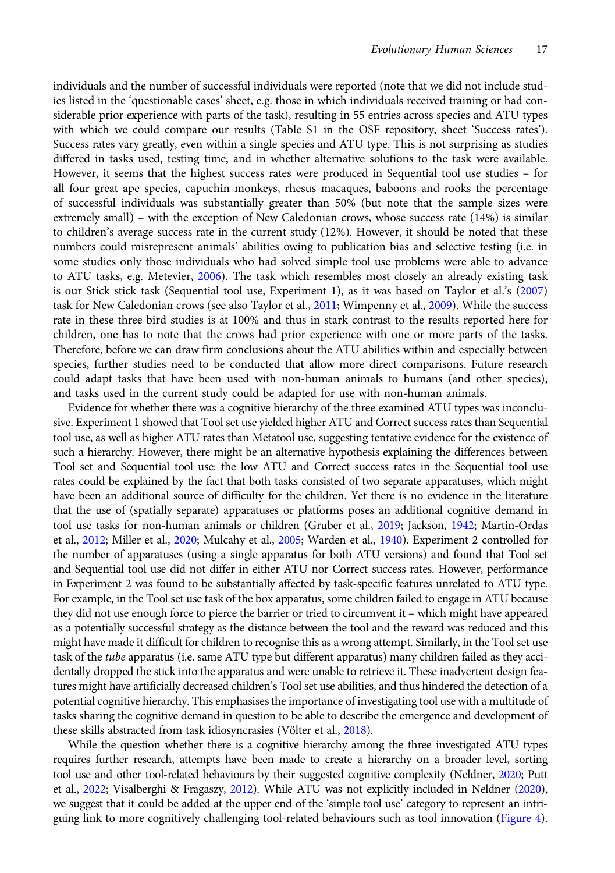individuals and the number of successful individuals were reported (note that we did not include studies listed in the 'questionable cases' sheet, e.g. those in which individuals received training or had considerable prior experience with parts of the task), resulting in 55 entries across species and ATU types with which we could compare our results (Table S1 in the OSF repository, sheet 'Success rates'). Success rates vary greatly, even within a single species and ATU type. This is not surprising as studies differed in tasks used, testing time, and in whether alternative solutions to the task were available. However, it seems that the highest success rates were produced in Sequential tool use studies – for all four great ape species, capuchin monkeys, rhesus macaques, baboons and rooks the percentage of successful individuals was substantially greater than 50% (but note that the sample sizes were extremely small) – with the exception of New Caledonian crows, whose success rate (14%) is similar to children's average success rate in the current study (12%). However, it should be noted that these numbers could misrepresent animals' abilities owing to publication bias and selective testing (i.e. in some studies only those individuals who had solved simple tool use problems were able to advance to ATU tasks, e.g. Metevier, [2006](#page-21-0)). The task which resembles most closely an already existing task is our Stick stick task (Sequential tool use, Experiment 1), as it was based on Taylor et al.'s [\(2007\)](#page-23-0) task for New Caledonian crows (see also Taylor et al., [2011](#page-23-0); Wimpenny et al., [2009\)](#page-23-0). While the success rate in these three bird studies is at 100% and thus in stark contrast to the results reported here for children, one has to note that the crows had prior experience with one or more parts of the tasks. Therefore, before we can draw firm conclusions about the ATU abilities within and especially between species, further studies need to be conducted that allow more direct comparisons. Future research could adapt tasks that have been used with non-human animals to humans (and other species), and tasks used in the current study could be adapted for use with non-human animals.

Evidence for whether there was a cognitive hierarchy of the three examined ATU types was inconclusive. Experiment 1 showed that Tool set use yielded higher ATU and Correct success rates than Sequential tool use, as well as higher ATU rates than Metatool use, suggesting tentative evidence for the existence of such a hierarchy. However, there might be an alternative hypothesis explaining the differences between Tool set and Sequential tool use: the low ATU and Correct success rates in the Sequential tool use rates could be explained by the fact that both tasks consisted of two separate apparatuses, which might have been an additional source of difficulty for the children. Yet there is no evidence in the literature that the use of (spatially separate) apparatuses or platforms poses an additional cognitive demand in tool use tasks for non-human animals or children (Gruber et al., [2019](#page-20-0); Jackson, [1942](#page-21-0); Martin-Ordas et al., [2012;](#page-21-0) Miller et al., [2020;](#page-21-0) Mulcahy et al., [2005;](#page-21-0) Warden et al., [1940\)](#page-23-0). Experiment 2 controlled for the number of apparatuses (using a single apparatus for both ATU versions) and found that Tool set and Sequential tool use did not differ in either ATU nor Correct success rates. However, performance in Experiment 2 was found to be substantially affected by task-specific features unrelated to ATU type. For example, in the Tool set use task of the box apparatus, some children failed to engage in ATU because they did not use enough force to pierce the barrier or tried to circumvent it – which might have appeared as a potentially successful strategy as the distance between the tool and the reward was reduced and this might have made it difficult for children to recognise this as a wrong attempt. Similarly, in the Tool set use task of the tube apparatus (i.e. same ATU type but different apparatus) many children failed as they accidentally dropped the stick into the apparatus and were unable to retrieve it. These inadvertent design features might have artificially decreased children's Tool set use abilities, and thus hindered the detection of a potential cognitive hierarchy. This emphasises the importance of investigating tool use with a multitude of tasks sharing the cognitive demand in question to be able to describe the emergence and development of these skills abstracted from task idiosyncrasies (Völter et al., [2018\)](#page-23-0).

While the question whether there is a cognitive hierarchy among the three investigated ATU types requires further research, attempts have been made to create a hierarchy on a broader level, sorting tool use and other tool-related behaviours by their suggested cognitive complexity (Neldner, [2020](#page-22-0); Putt et al., [2022;](#page-22-0) Visalberghi & Fragaszy, [2012\)](#page-23-0). While ATU was not explicitly included in Neldner [\(2020\)](#page-22-0), we suggest that it could be added at the upper end of the 'simple tool use' category to represent an intri-guing link to more cognitively challenging tool-related behaviours such as tool innovation ([Figure 4\)](#page-18-0).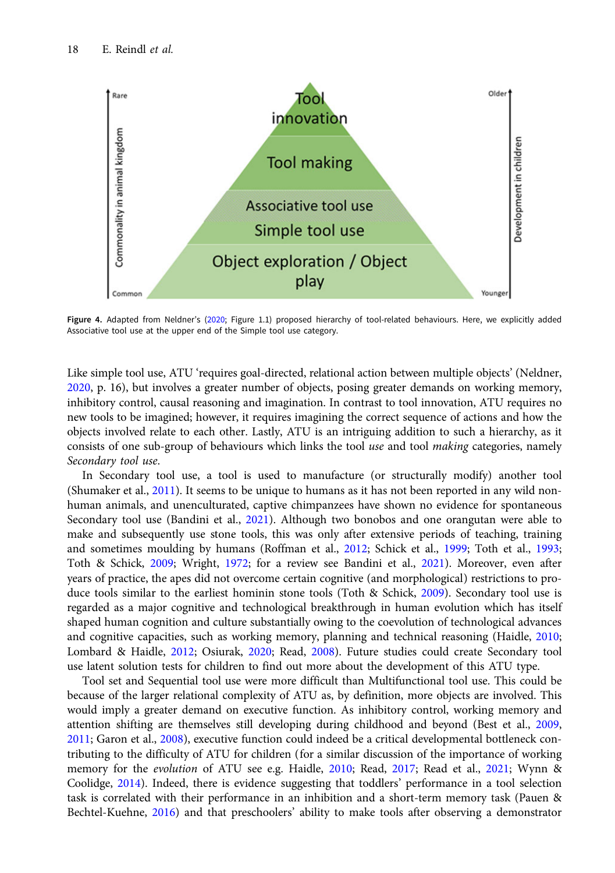<span id="page-18-0"></span>

Figure 4. Adapted from Neldner's [\(2020](#page-22-0); Figure 1.1) proposed hierarchy of tool-related behaviours. Here, we explicitly added Associative tool use at the upper end of the Simple tool use category.

Like simple tool use, ATU 'requires goal-directed, relational action between multiple objects' (Neldner, [2020,](#page-22-0) p. 16), but involves a greater number of objects, posing greater demands on working memory, inhibitory control, causal reasoning and imagination. In contrast to tool innovation, ATU requires no new tools to be imagined; however, it requires imagining the correct sequence of actions and how the objects involved relate to each other. Lastly, ATU is an intriguing addition to such a hierarchy, as it consists of one sub-group of behaviours which links the tool use and tool making categories, namely Secondary tool use.

In Secondary tool use, a tool is used to manufacture (or structurally modify) another tool (Shumaker et al., [2011\)](#page-22-0). It seems to be unique to humans as it has not been reported in any wild nonhuman animals, and unenculturated, captive chimpanzees have shown no evidence for spontaneous Secondary tool use (Bandini et al., [2021\)](#page-19-0). Although two bonobos and one orangutan were able to make and subsequently use stone tools, this was only after extensive periods of teaching, training and sometimes moulding by humans (Roffman et al., [2012;](#page-22-0) Schick et al., [1999;](#page-22-0) Toth et al., [1993;](#page-23-0) Toth & Schick, [2009](#page-23-0); Wright, [1972](#page-23-0); for a review see Bandini et al., [2021\)](#page-19-0). Moreover, even after years of practice, the apes did not overcome certain cognitive (and morphological) restrictions to pro-duce tools similar to the earliest hominin stone tools (Toth & Schick, [2009](#page-23-0)). Secondary tool use is regarded as a major cognitive and technological breakthrough in human evolution which has itself shaped human cognition and culture substantially owing to the coevolution of technological advances and cognitive capacities, such as working memory, planning and technical reasoning (Haidle, [2010;](#page-20-0) Lombard & Haidle, [2012;](#page-21-0) Osiurak, [2020;](#page-22-0) Read, [2008](#page-22-0)). Future studies could create Secondary tool use latent solution tests for children to find out more about the development of this ATU type.

Tool set and Sequential tool use were more difficult than Multifunctional tool use. This could be because of the larger relational complexity of ATU as, by definition, more objects are involved. This would imply a greater demand on executive function. As inhibitory control, working memory and attention shifting are themselves still developing during childhood and beyond (Best et al., [2009,](#page-20-0) [2011;](#page-20-0) Garon et al., [2008](#page-20-0)), executive function could indeed be a critical developmental bottleneck contributing to the difficulty of ATU for children (for a similar discussion of the importance of working memory for the evolution of ATU see e.g. Haidle, [2010;](#page-20-0) Read, [2017](#page-22-0); Read et al., [2021;](#page-22-0) Wynn & Coolidge, [2014\)](#page-23-0). Indeed, there is evidence suggesting that toddlers' performance in a tool selection task is correlated with their performance in an inhibition and a short-term memory task (Pauen & Bechtel-Kuehne, [2016\)](#page-22-0) and that preschoolers' ability to make tools after observing a demonstrator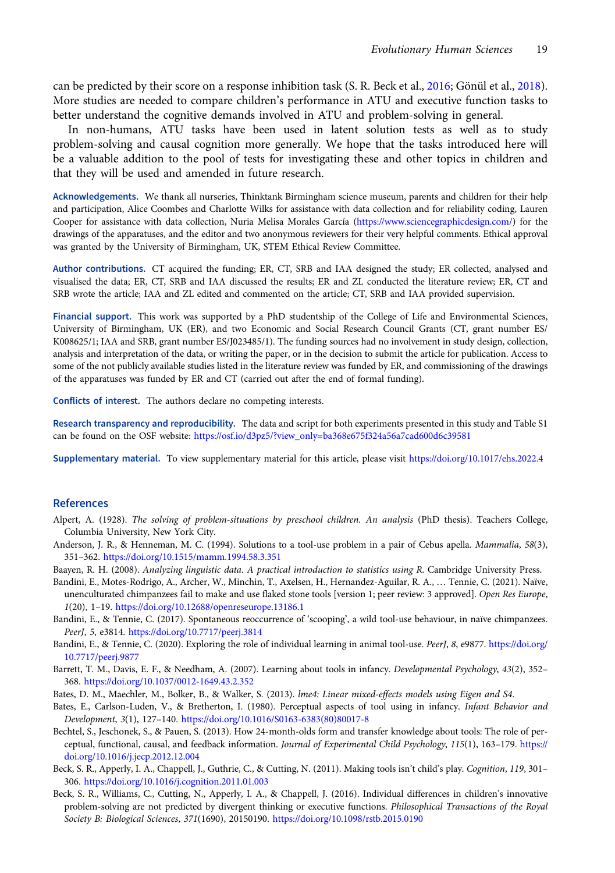<span id="page-19-0"></span>can be predicted by their score on a response inhibition task (S. R. Beck et al., 2016; Gönül et al., [2018\)](#page-20-0). More studies are needed to compare children's performance in ATU and executive function tasks to better understand the cognitive demands involved in ATU and problem-solving in general.

In non-humans, ATU tasks have been used in latent solution tests as well as to study problem-solving and causal cognition more generally. We hope that the tasks introduced here will be a valuable addition to the pool of tests for investigating these and other topics in children and that they will be used and amended in future research.

Acknowledgements. We thank all nurseries, Thinktank Birmingham science museum, parents and children for their help and participation, Alice Coombes and Charlotte Wilks for assistance with data collection and for reliability coding, Lauren Cooper for assistance with data collection, Nuria Melisa Morales García [\(https://www.sciencegraphicdesign.com/](https://www.sciencegraphicdesign.com/)) for the drawings of the apparatuses, and the editor and two anonymous reviewers for their very helpful comments. Ethical approval was granted by the University of Birmingham, UK, STEM Ethical Review Committee.

Author contributions. CT acquired the funding; ER, CT, SRB and IAA designed the study; ER collected, analysed and visualised the data; ER, CT, SRB and IAA discussed the results; ER and ZL conducted the literature review; ER, CT and SRB wrote the article; IAA and ZL edited and commented on the article; CT, SRB and IAA provided supervision.

Financial support. This work was supported by a PhD studentship of the College of Life and Environmental Sciences, University of Birmingham, UK (ER), and two Economic and Social Research Council Grants (CT, grant number ES/ K008625/1; IAA and SRB, grant number ES/J023485/1). The funding sources had no involvement in study design, collection, analysis and interpretation of the data, or writing the paper, or in the decision to submit the article for publication. Access to some of the not publicly available studies listed in the literature review was funded by ER, and commissioning of the drawings of the apparatuses was funded by ER and CT (carried out after the end of formal funding).

Conflicts of interest. The authors declare no competing interests.

Research transparency and reproducibility. The data and script for both experiments presented in this study and Table S1 can be found on the OSF website: [https://osf.io/d3pz5/?view\\_only=ba368e675f324a56a7cad600d6c39581](https://osf.io/d3pz5/?view_only=ba368e675f324a56a7cad600d6c39581)

Supplementary material. To view supplementary material for this article, please visit <https://doi.org/10.1017/ehs.2022.4>

#### References

- Alpert, A. (1928). The solving of problem-situations by preschool children. An analysis (PhD thesis). Teachers College, Columbia University, New York City.
- Anderson, J. R., & Henneman, M. C. (1994). Solutions to a tool-use problem in a pair of Cebus apella. Mammalia, 58(3), 351–362. <https://doi.org/10.1515/mamm.1994.58.3.351>

Baayen, R. H. (2008). Analyzing linguistic data. A practical introduction to statistics using R. Cambridge University Press.

- Bandini, E., Motes-Rodrigo, A., Archer, W., Minchin, T., Axelsen, H., Hernandez-Aguilar, R. A., … Tennie, C. (2021). Naïve, unenculturated chimpanzees fail to make and use flaked stone tools [version 1; peer review: 3 approved]. Open Res Europe, 1(20), 1–19. <https://doi.org/10.12688/openreseurope.13186.1>
- Bandini, E., & Tennie, C. (2017). Spontaneous reoccurrence of 'scooping', a wild tool-use behaviour, in naïve chimpanzees. PeerJ, 5, e3814. <https://doi.org/10.7717/peerj.3814>
- Bandini, E., & Tennie, C. (2020). Exploring the role of individual learning in animal tool-use. PeerJ, 8, e9877. [https://doi.org/](https://doi.org/10.7717/peerj.9877) [10.7717/peerj.9877](https://doi.org/10.7717/peerj.9877)
- Barrett, T. M., Davis, E. F., & Needham, A. (2007). Learning about tools in infancy. Developmental Psychology, 43(2), 352– 368. <https://doi.org/10.1037/0012-1649.43.2.352>
- Bates, D. M., Maechler, M., Bolker, B., & Walker, S. (2013). lme4: Linear mixed-effects models using Eigen and S4.
- Bates, E., Carlson-Luden, V., & Bretherton, I. (1980). Perceptual aspects of tool using in infancy. Infant Behavior and Development, 3(1), 127–140. [https://doi.org/10.1016/S0163-6383\(80\)80017-8](https://doi.org/10.1016/S0163-6383(80)80017-8)
- Bechtel, S., Jeschonek, S., & Pauen, S. (2013). How 24-month-olds form and transfer knowledge about tools: The role of perceptual, functional, causal, and feedback information. Journal of Experimental Child Psychology, 115(1), 163–179. [https://](https://doi.org/10.1016/j.jecp.2012.12.004) [doi.org/10.1016/j.jecp.2012.12.004](https://doi.org/10.1016/j.jecp.2012.12.004)
- Beck, S. R., Apperly, I. A., Chappell, J., Guthrie, C., & Cutting, N. (2011). Making tools isn't child's play. Cognition, 119, 301– 306. <https://doi.org/10.1016/j.cognition.2011.01.003>
- Beck, S. R., Williams, C., Cutting, N., Apperly, I. A., & Chappell, J. (2016). Individual differences in children's innovative problem-solving are not predicted by divergent thinking or executive functions. Philosophical Transactions of the Royal Society B: Biological Sciences, 371(1690), 20150190. <https://doi.org/10.1098/rstb.2015.0190>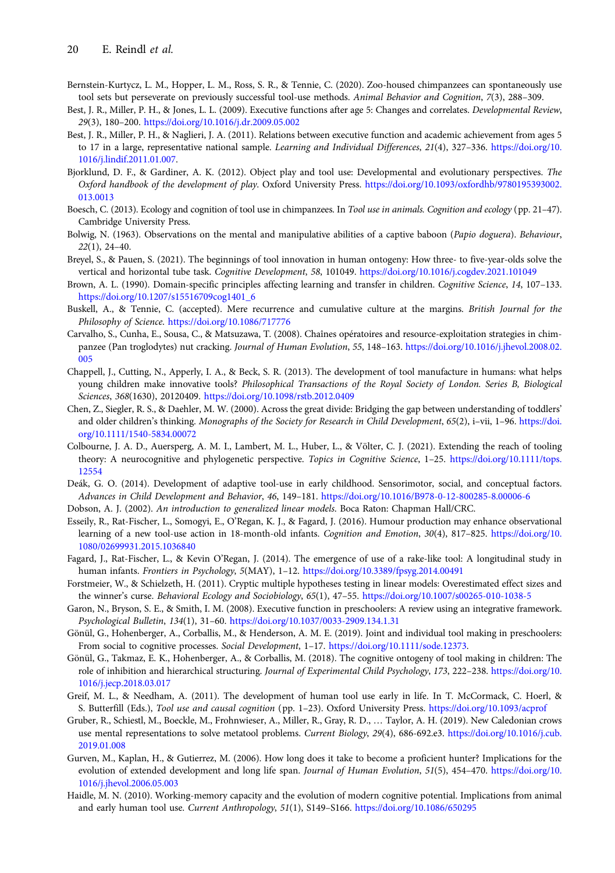- <span id="page-20-0"></span>Bernstein-Kurtycz, L. M., Hopper, L. M., Ross, S. R., & Tennie, C. (2020). Zoo-housed chimpanzees can spontaneously use tool sets but perseverate on previously successful tool-use methods. Animal Behavior and Cognition, 7(3), 288–309.
- Best, J. R., Miller, P. H., & Jones, L. L. (2009). Executive functions after age 5: Changes and correlates. Developmental Review, 29(3), 180–200. <https://doi.org/10.1016/j.dr.2009.05.002>
- Best, J. R., Miller, P. H., & Naglieri, J. A. (2011). Relations between executive function and academic achievement from ages 5 to 17 in a large, representative national sample. Learning and Individual Differences, 21(4), 327-336. [https://doi.org/10.](https://doi.org/10.1016/j.lindif.2011.01.007) [1016/j.lindif.2011.01.007](https://doi.org/10.1016/j.lindif.2011.01.007).
- Bjorklund, D. F., & Gardiner, A. K. (2012). Object play and tool use: Developmental and evolutionary perspectives. The Oxford handbook of the development of play. Oxford University Press. [https://doi.org/10.1093/oxfordhb/9780195393002.](https://doi.org/10.1093/oxfordhb/9780195393002.013.0013) [013.0013](https://doi.org/10.1093/oxfordhb/9780195393002.013.0013)
- Boesch, C. (2013). Ecology and cognition of tool use in chimpanzees. In Tool use in animals. Cognition and ecology (pp. 21–47). Cambridge University Press.
- Bolwig, N. (1963). Observations on the mental and manipulative abilities of a captive baboon (Papio doguera). Behaviour, 22(1), 24–40.
- Breyel, S., & Pauen, S. (2021). The beginnings of tool innovation in human ontogeny: How three- to five-year-olds solve the vertical and horizontal tube task. Cognitive Development, 58, 101049. <https://doi.org/10.1016/j.cogdev.2021.101049>
- Brown, A. L. (1990). Domain-specific principles affecting learning and transfer in children. Cognitive Science, 14, 107–133. [https://doi.org/10.1207/s15516709cog1401\\_6](https://doi.org/10.1207/s15516709cog1401_6)
- Buskell, A., & Tennie, C. (accepted). Mere recurrence and cumulative culture at the margins. British Journal for the Philosophy of Science. <https://doi.org/10.1086/717776>
- Carvalho, S., Cunha, E., Sousa, C., & Matsuzawa, T. (2008). Chaînes opératoires and resource-exploitation strategies in chimpanzee (Pan troglodytes) nut cracking. Journal of Human Evolution, 55, 148–163. [https://doi.org/10.1016/j.jhevol.2008.02.](https://doi.org/10.1016/j.jhevol.2008.02.005) [005](https://doi.org/10.1016/j.jhevol.2008.02.005)
- Chappell, J., Cutting, N., Apperly, I. A., & Beck, S. R. (2013). The development of tool manufacture in humans: what helps young children make innovative tools? Philosophical Transactions of the Royal Society of London. Series B, Biological Sciences, 368(1630), 20120409. <https://doi.org/10.1098/rstb.2012.0409>
- Chen, Z., Siegler, R. S., & Daehler, M. W. (2000). Across the great divide: Bridging the gap between understanding of toddlers' and older children's thinking. Monographs of the Society for Research in Child Development, 65(2), i–vii, 1–96. [https://doi.](https://doi.org/10.1111/1540-5834.00072) [org/10.1111/1540-5834.00072](https://doi.org/10.1111/1540-5834.00072)
- Colbourne, J. A. D., Auersperg, A. M. I., Lambert, M. L., Huber, L., & Völter, C. J. (2021). Extending the reach of tooling theory: A neurocognitive and phylogenetic perspective. Topics in Cognitive Science, 1-25. [https://doi.org/10.1111/tops.](https://doi.org/10.1111/tops.12554) [12554](https://doi.org/10.1111/tops.12554)
- Deák, G. O. (2014). Development of adaptive tool-use in early childhood. Sensorimotor, social, and conceptual factors. Advances in Child Development and Behavior, 46, 149–181. <https://doi.org/10.1016/B978-0-12-800285-8.00006-6>
- Dobson, A. J. (2002). An introduction to generalized linear models. Boca Raton: Chapman Hall/CRC.
- Esseily, R., Rat-Fischer, L., Somogyi, E., O'Regan, K. J., & Fagard, J. (2016). Humour production may enhance observational learning of a new tool-use action in 18-month-old infants. Cognition and Emotion, 30(4), 817–825. [https://doi.org/10.](https://doi.org/10.1080/02699931.2015.1036840) [1080/02699931.2015.1036840](https://doi.org/10.1080/02699931.2015.1036840)
- Fagard, J., Rat-Fischer, L., & Kevin O'Regan, J. (2014). The emergence of use of a rake-like tool: A longitudinal study in human infants. Frontiers in Psychology, 5(MAY), 1–12. <https://doi.org/10.3389/fpsyg.2014.00491>
- Forstmeier, W., & Schielzeth, H. (2011). Cryptic multiple hypotheses testing in linear models: Overestimated effect sizes and the winner's curse. Behavioral Ecology and Sociobiology, 65(1), 47-55. <https://doi.org/10.1007/s00265-010-1038-5>
- Garon, N., Bryson, S. E., & Smith, I. M. (2008). Executive function in preschoolers: A review using an integrative framework. Psychological Bulletin, 134(1), 31–60. <https://doi.org/10.1037/0033-2909.134.1.31>
- Gönül, G., Hohenberger, A., Corballis, M., & Henderson, A. M. E. (2019). Joint and individual tool making in preschoolers: From social to cognitive processes. Social Development, 1–17. <https://doi.org/10.1111/sode.12373>.
- Gönül, G., Takmaz, E. K., Hohenberger, A., & Corballis, M. (2018). The cognitive ontogeny of tool making in children: The role of inhibition and hierarchical structuring. Journal of Experimental Child Psychology, 173, 222–238. [https://doi.org/10.](https://doi.org/10.1016/j.jecp.2018.03.017) [1016/j.jecp.2018.03.017](https://doi.org/10.1016/j.jecp.2018.03.017)
- Greif, M. L., & Needham, A. (2011). The development of human tool use early in life. In T. McCormack, C. Hoerl, & S. Butterfill (Eds.), Tool use and causal cognition (pp. 1–23). Oxford University Press. <https://doi.org/10.1093/acprof>
- Gruber, R., Schiestl, M., Boeckle, M., Frohnwieser, A., Miller, R., Gray, R. D., … Taylor, A. H. (2019). New Caledonian crows use mental representations to solve metatool problems. Current Biology, 29(4), 686-692.e3. [https://doi.org/10.1016/j.cub.](https://doi.org/10.1016/j.cub.2019.01.008) [2019.01.008](https://doi.org/10.1016/j.cub.2019.01.008)
- Gurven, M., Kaplan, H., & Gutierrez, M. (2006). How long does it take to become a proficient hunter? Implications for the evolution of extended development and long life span. Journal of Human Evolution, 51(5), 454–470. [https://doi.org/10.](https://doi.org/10.1016/j.jhevol.2006.05.003) [1016/j.jhevol.2006.05.003](https://doi.org/10.1016/j.jhevol.2006.05.003)
- Haidle, M. N. (2010). Working-memory capacity and the evolution of modern cognitive potential. Implications from animal and early human tool use. Current Anthropology, 51(1), S149–S166. <https://doi.org/10.1086/650295>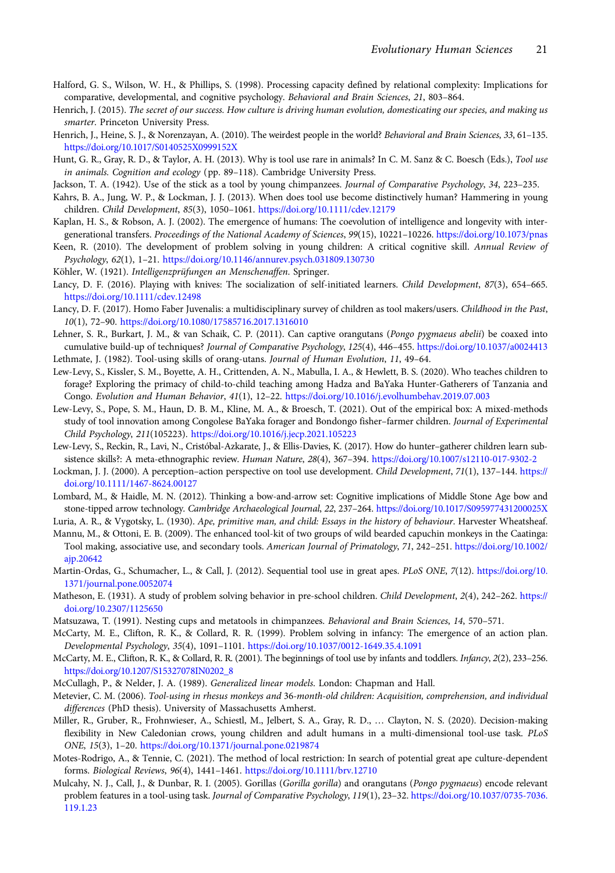- <span id="page-21-0"></span>Halford, G. S., Wilson, W. H., & Phillips, S. (1998). Processing capacity defined by relational complexity: Implications for comparative, developmental, and cognitive psychology. Behavioral and Brain Sciences, 21, 803–864.
- Henrich, J. (2015). The secret of our success. How culture is driving human evolution, domesticating our species, and making us smarter. Princeton University Press.
- Henrich, J., Heine, S. J., & Norenzayan, A. (2010). The weirdest people in the world? Behavioral and Brain Sciences, 33, 61–135. <https://doi.org/10.1017/S0140525X0999152X>
- Hunt, G. R., Gray, R. D., & Taylor, A. H. (2013). Why is tool use rare in animals? In C. M. Sanz & C. Boesch (Eds.), Tool use in animals. Cognition and ecology (pp. 89–118). Cambridge University Press.
- Jackson, T. A. (1942). Use of the stick as a tool by young chimpanzees. Journal of Comparative Psychology, 34, 223-235.
- Kahrs, B. A., Jung, W. P., & Lockman, J. J. (2013). When does tool use become distinctively human? Hammering in young children. Child Development, 85(3), 1050–1061. <https://doi.org/10.1111/cdev.12179>
- Kaplan, H. S., & Robson, A. J. (2002). The emergence of humans: The coevolution of intelligence and longevity with intergenerational transfers. Proceedings of the National Academy of Sciences, 99(15), 10221–10226. <https://doi.org/10.1073/pnas>
- Keen, R. (2010). The development of problem solving in young children: A critical cognitive skill. Annual Review of Psychology, 62(1), 1–21. <https://doi.org/10.1146/annurev.psych.031809.130730>
- Köhler, W. (1921). Intelligenzprüfungen an Menschenaffen. Springer.
- Lancy, D. F. (2016). Playing with knives: The socialization of self-initiated learners. Child Development, 87(3), 654–665. <https://doi.org/10.1111/cdev.12498>
- Lancy, D. F. (2017). Homo Faber Juvenalis: a multidisciplinary survey of children as tool makers/users. Childhood in the Past, 10(1), 72–90. <https://doi.org/10.1080/17585716.2017.1316010>
- Lehner, S. R., Burkart, J. M., & van Schaik, C. P. (2011). Can captive orangutans (Pongo pygmaeus abelii) be coaxed into cumulative build-up of techniques? Journal of Comparative Psychology, 125(4), 446–455. <https://doi.org/10.1037/a0024413> Lethmate, J. (1982). Tool-using skills of orang-utans. Journal of Human Evolution, 11, 49–64.
- Lew-Levy, S., Kissler, S. M., Boyette, A. H., Crittenden, A. N., Mabulla, I. A., & Hewlett, B. S. (2020). Who teaches children to forage? Exploring the primacy of child-to-child teaching among Hadza and BaYaka Hunter-Gatherers of Tanzania and Congo. Evolution and Human Behavior, 41(1), 12–22. <https://doi.org/10.1016/j.evolhumbehav.2019.07.003>
- Lew-Levy, S., Pope, S. M., Haun, D. B. M., Kline, M. A., & Broesch, T. (2021). Out of the empirical box: A mixed-methods study of tool innovation among Congolese BaYaka forager and Bondongo fisher–farmer children. Journal of Experimental Child Psychology, 211(105223). <https://doi.org/10.1016/j.jecp.2021.105223>
- Lew-Levy, S., Reckin, R., Lavi, N., Cristóbal-Azkarate, J., & Ellis-Davies, K. (2017). How do hunter–gatherer children learn subsistence skills?: A meta-ethnographic review. Human Nature, 28(4), 367–394. <https://doi.org/10.1007/s12110-017-9302-2>
- Lockman, J. J. (2000). A perception–action perspective on tool use development. Child Development, 71(1), 137–144. [https://](https://doi.org/10.1111/1467-8624.00127) [doi.org/10.1111/1467-8624.00127](https://doi.org/10.1111/1467-8624.00127)
- Lombard, M., & Haidle, M. N. (2012). Thinking a bow-and-arrow set: Cognitive implications of Middle Stone Age bow and stone-tipped arrow technology. Cambridge Archaeological Journal, 22, 237–264. <https://doi.org/10.1017/S095977431200025X>
- Luria, A. R., & Vygotsky, L. (1930). Ape, primitive man, and child: Essays in the history of behaviour. Harvester Wheatsheaf. Mannu, M., & Ottoni, E. B. (2009). The enhanced tool-kit of two groups of wild bearded capuchin monkeys in the Caatinga:
- Tool making, associative use, and secondary tools. American Journal of Primatology, 71, 242–251. [https://doi.org/10.1002/](https://doi.org/10.1002/ajp.20642) [ajp.20642](https://doi.org/10.1002/ajp.20642)
- Martin-Ordas, G., Schumacher, L., & Call, J. (2012). Sequential tool use in great apes. PLoS ONE, 7(12). [https://doi.org/10.](https://doi.org/10.1371/journal.pone.0052074) [1371/journal.pone.0052074](https://doi.org/10.1371/journal.pone.0052074)
- Matheson, E. (1931). A study of problem solving behavior in pre-school children. Child Development, 2(4), 242-262. [https://](https://doi.org/10.2307/1125650) [doi.org/10.2307/1125650](https://doi.org/10.2307/1125650)
- Matsuzawa, T. (1991). Nesting cups and metatools in chimpanzees. Behavioral and Brain Sciences, 14, 570–571.
- McCarty, M. E., Clifton, R. K., & Collard, R. R. (1999). Problem solving in infancy: The emergence of an action plan. Developmental Psychology, 35(4), 1091–1101. <https://doi.org/10.1037/0012-1649.35.4.1091>
- McCarty, M. E., Clifton, R. K., & Collard, R. R. (2001). The beginnings of tool use by infants and toddlers. Infancy, 2(2), 233–256. [https://doi.org/10.1207/S15327078IN0202\\_8](https://doi.org/10.1207/S15327078IN0202_8)
- McCullagh, P., & Nelder, J. A. (1989). Generalized linear models. London: Chapman and Hall.
- Metevier, C. M. (2006). Tool-using in rhesus monkeys and 36-month-old children: Acquisition, comprehension, and individual differences (PhD thesis). University of Massachusetts Amherst.
- Miller, R., Gruber, R., Frohnwieser, A., Schiestl, M., Jelbert, S. A., Gray, R. D., … Clayton, N. S. (2020). Decision-making flexibility in New Caledonian crows, young children and adult humans in a multi-dimensional tool-use task. PLoS ONE, 15(3), 1–20. <https://doi.org/10.1371/journal.pone.0219874>
- Motes-Rodrigo, A., & Tennie, C. (2021). The method of local restriction: In search of potential great ape culture-dependent forms. Biological Reviews, 96(4), 1441–1461. <https://doi.org/10.1111/brv.12710>
- Mulcahy, N. J., Call, J., & Dunbar, R. I. (2005). Gorillas (*Gorilla gorilla*) and orangutans (*Pongo pygmaeus*) encode relevant problem features in a tool-using task. Journal of Comparative Psychology, 119(1), 23–32. [https://doi.org/10.1037/0735-7036.](https://doi.org/10.1037/0735-7036.119.1.23) [119.1.23](https://doi.org/10.1037/0735-7036.119.1.23)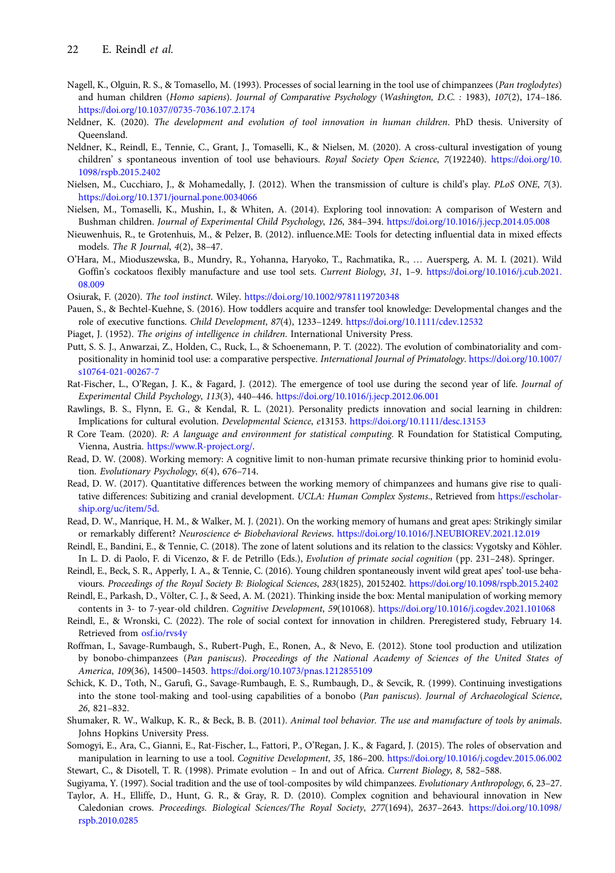- <span id="page-22-0"></span>Nagell, K., Olguin, R. S., & Tomasello, M. (1993). Processes of social learning in the tool use of chimpanzees (Pan troglodytes) and human children (Homo sapiens). Journal of Comparative Psychology (Washington, D.C. : 1983), 107(2), 174–186. <https://doi.org/10.1037//0735-7036.107.2.174>
- Neldner, K. (2020). The development and evolution of tool innovation in human children. PhD thesis. University of Queensland.
- Neldner, K., Reindl, E., Tennie, C., Grant, J., Tomaselli, K., & Nielsen, M. (2020). A cross-cultural investigation of young children' s spontaneous invention of tool use behaviours. Royal Society Open Science, 7(192240). [https://doi.org/10.](https://doi.org/10.1098/rspb.2015.2402) [1098/rspb.2015.2402](https://doi.org/10.1098/rspb.2015.2402)
- Nielsen, M., Cucchiaro, J., & Mohamedally, J. (2012). When the transmission of culture is child's play. PLoS ONE, 7(3). <https://doi.org/10.1371/journal.pone.0034066>
- Nielsen, M., Tomaselli, K., Mushin, I., & Whiten, A. (2014). Exploring tool innovation: A comparison of Western and Bushman children. Journal of Experimental Child Psychology, 126, 384–394. <https://doi.org/10.1016/j.jecp.2014.05.008>
- Nieuwenhuis, R., te Grotenhuis, M., & Pelzer, B. (2012). influence.ME: Tools for detecting influential data in mixed effects models. The R Journal, 4(2), 38–47.
- O'Hara, M., Mioduszewska, B., Mundry, R., Yohanna, Haryoko, T., Rachmatika, R., … Auersperg, A. M. I. (2021). Wild Goffin's cockatoos flexibly manufacture and use tool sets. Current Biology, 31, 1–9. [https://doi.org/10.1016/j.cub.2021.](https://doi.org/10.1016/j.cub.2021.08.009) [08.009](https://doi.org/10.1016/j.cub.2021.08.009)
- Osiurak, F. (2020). The tool instinct. Wiley. <https://doi.org/10.1002/9781119720348>
- Pauen, S., & Bechtel-Kuehne, S. (2016). How toddlers acquire and transfer tool knowledge: Developmental changes and the role of executive functions. Child Development, 87(4), 1233–1249. <https://doi.org/10.1111/cdev.12532>
- Piaget, J. (1952). The origins of intelligence in children. International University Press.
- Putt, S. S. J., Anwarzai, Z., Holden, C., Ruck, L., & Schoenemann, P. T. (2022). The evolution of combinatoriality and compositionality in hominid tool use: a comparative perspective. International Journal of Primatology. [https://doi.org/10.1007/](https://doi.org/10.1007/s10764-021-00267-7) [s10764-021-00267-7](https://doi.org/10.1007/s10764-021-00267-7)
- Rat-Fischer, L., O'Regan, J. K., & Fagard, J. (2012). The emergence of tool use during the second year of life. Journal of Experimental Child Psychology, 113(3), 440–446. <https://doi.org/10.1016/j.jecp.2012.06.001>
- Rawlings, B. S., Flynn, E. G., & Kendal, R. L. (2021). Personality predicts innovation and social learning in children: Implications for cultural evolution. Developmental Science, e13153. <https://doi.org/10.1111/desc.13153>
- R Core Team. (2020). R: A language and environment for statistical computing. R Foundation for Statistical Computing, Vienna, Austria. [https://www.R-project.org/.](https://www.R-project.org/)
- Read, D. W. (2008). Working memory: A cognitive limit to non-human primate recursive thinking prior to hominid evolution. Evolutionary Psychology, 6(4), 676–714.
- Read, D. W. (2017). Quantitative differences between the working memory of chimpanzees and humans give rise to qualitative differences: Subitizing and cranial development. UCLA: Human Complex Systems., Retrieved from [https://escholar](https://escholarship.org/uc/item/5d)[ship.org/uc/item/5d.](https://escholarship.org/uc/item/5d)
- Read, D. W., Manrique, H. M., & Walker, M. J. (2021). On the working memory of humans and great apes: Strikingly similar or remarkably different? Neuroscience & Biobehavioral Reviews. <https://doi.org/10.1016/J.NEUBIOREV.2021.12.019>
- Reindl, E., Bandini, E., & Tennie, C. (2018). The zone of latent solutions and its relation to the classics: Vygotsky and Köhler. In L. D. di Paolo, F. di Vicenzo, & F. de Petrillo (Eds.), Evolution of primate social cognition (pp. 231–248). Springer.
- Reindl, E., Beck, S. R., Apperly, I. A., & Tennie, C. (2016). Young children spontaneously invent wild great apes' tool-use behaviours. Proceedings of the Royal Society B: Biological Sciences, 283(1825), 20152402. <https://doi.org/10.1098/rspb.2015.2402>
- Reindl, E., Parkash, D., Völter, C. J., & Seed, A. M. (2021). Thinking inside the box: Mental manipulation of working memory contents in 3- to 7-year-old children. Cognitive Development, 59(101068). <https://doi.org/10.1016/j.cogdev.2021.101068>
- Reindl, E., & Wronski, C. (2022). The role of social context for innovation in children. Preregistered study, February 14. Retrieved from [osf.io/rvs4y](https://osf.io/rvs4y)
- Roffman, I., Savage-Rumbaugh, S., Rubert-Pugh, E., Ronen, A., & Nevo, E. (2012). Stone tool production and utilization by bonobo-chimpanzees (Pan paniscus). Proceedings of the National Academy of Sciences of the United States of America, 109(36), 14500–14503. <https://doi.org/10.1073/pnas.1212855109>
- Schick, K. D., Toth, N., Garufi, G., Savage-Rumbaugh, E. S., Rumbaugh, D., & Sevcik, R. (1999). Continuing investigations into the stone tool-making and tool-using capabilities of a bonobo (Pan paniscus). Journal of Archaeological Science, 26, 821–832.
- Shumaker, R. W., Walkup, K. R., & Beck, B. B. (2011). Animal tool behavior. The use and manufacture of tools by animals. Johns Hopkins University Press.
- Somogyi, E., Ara, C., Gianni, E., Rat-Fischer, L., Fattori, P., O'Regan, J. K., & Fagard, J. (2015). The roles of observation and manipulation in learning to use a tool. Cognitive Development, 35, 186–200. <https://doi.org/10.1016/j.cogdev.2015.06.002> Stewart, C., & Disotell, T. R. (1998). Primate evolution – In and out of Africa. Current Biology, 8, 582–588.

Sugiyama, Y. (1997). Social tradition and the use of tool-composites by wild chimpanzees. Evolutionary Anthropology, 6, 23–27.

Taylor, A. H., Elliffe, D., Hunt, G. R., & Gray, R. D. (2010). Complex cognition and behavioural innovation in New Caledonian crows. Proceedings. Biological Sciences/The Royal Society, 277(1694), 2637–2643. [https://doi.org/10.1098/](https://doi.org/10.1098/rspb.2010.0285) [rspb.2010.0285](https://doi.org/10.1098/rspb.2010.0285)